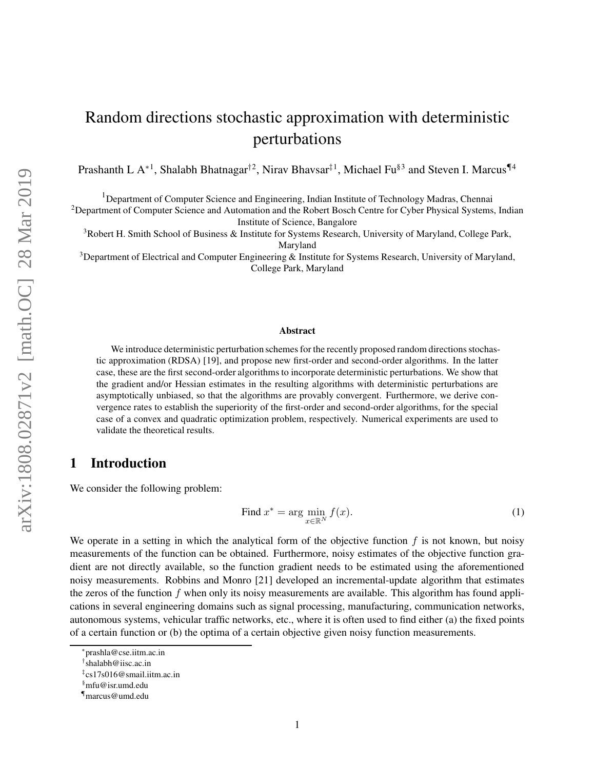# Random directions stochastic approximation with deterministic perturbations

Prashanth L A<sup>∗1</sup>, Shalabh Bhatnagar<sup>†2</sup>, Nirav Bhavsar<sup>‡1</sup>, Michael Fu<sup>§3</sup> and Steven I. Marcus<sup>¶4</sup>

<sup>1</sup>Department of Computer Science and Engineering, Indian Institute of Technology Madras, Chennai

<sup>2</sup>Department of Computer Science and Automation and the Robert Bosch Centre for Cyber Physical Systems, Indian Institute of Science, Bangalore

<sup>3</sup>Robert H. Smith School of Business & Institute for Systems Research, University of Maryland, College Park, Maryland

<sup>3</sup>Department of Electrical and Computer Engineering & Institute for Systems Research, University of Maryland, College Park, Maryland

#### Abstract

We introduce deterministic perturbation schemes for the recently proposed random directions stochastic approximation (RDSA) [19], and propose new first-order and second-order algorithms. In the latter case, these are the first second-order algorithms to incorporate deterministic perturbations. We show that the gradient and/or Hessian estimates in the resulting algorithms with deterministic perturbations are asymptotically unbiased, so that the algorithms are provably convergent. Furthermore, we derive convergence rates to establish the superiority of the first-order and second-order algorithms, for the special case of a convex and quadratic optimization problem, respectively. Numerical experiments are used to validate the theoretical results.

# 1 Introduction

We consider the following problem:

Find 
$$
x^* = \arg\min_{x \in \mathbb{R}^N} f(x)
$$
. (1)

We operate in a setting in which the analytical form of the objective function  $f$  is not known, but noisy measurements of the function can be obtained. Furthermore, noisy estimates of the objective function gradient are not directly available, so the function gradient needs to be estimated using the aforementioned noisy measurements. Robbins and Monro [21] developed an incremental-update algorithm that estimates the zeros of the function  $f$  when only its noisy measurements are available. This algorithm has found applications in several engineering domains such as signal processing, manufacturing, communication networks, autonomous systems, vehicular traffic networks, etc., where it is often used to find either (a) the fixed points of a certain function or (b) the optima of a certain objective given noisy function measurements.

<sup>∗</sup> prashla@cse.iitm.ac.in

<sup>†</sup> shalabh@iisc.ac.in

<sup>‡</sup> cs17s016@smail.iitm.ac.in

<sup>§</sup>mfu@isr.umd.edu

<sup>¶</sup>marcus@umd.edu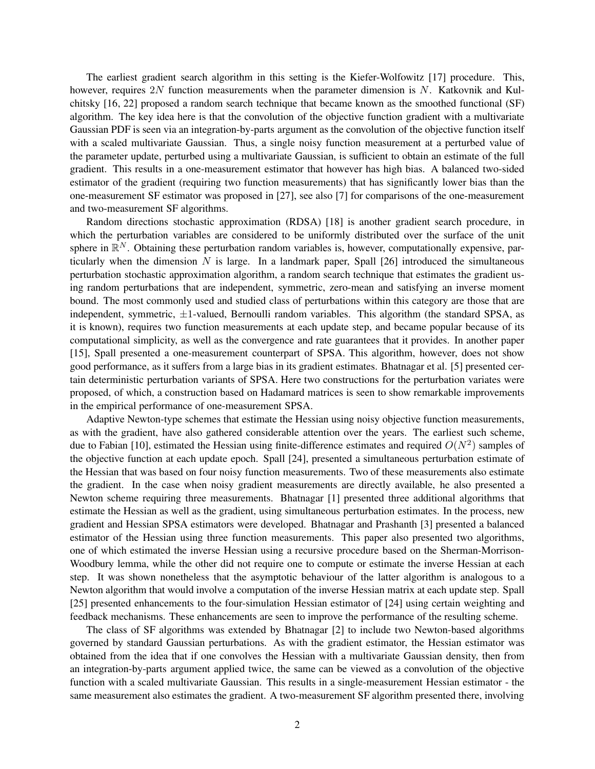The earliest gradient search algorithm in this setting is the Kiefer-Wolfowitz [17] procedure. This, however, requires 2N function measurements when the parameter dimension is N. Katkovnik and Kulchitsky [16, 22] proposed a random search technique that became known as the smoothed functional (SF) algorithm. The key idea here is that the convolution of the objective function gradient with a multivariate Gaussian PDF is seen via an integration-by-parts argument as the convolution of the objective function itself with a scaled multivariate Gaussian. Thus, a single noisy function measurement at a perturbed value of the parameter update, perturbed using a multivariate Gaussian, is sufficient to obtain an estimate of the full gradient. This results in a one-measurement estimator that however has high bias. A balanced two-sided estimator of the gradient (requiring two function measurements) that has significantly lower bias than the one-measurement SF estimator was proposed in [27], see also [7] for comparisons of the one-measurement and two-measurement SF algorithms.

Random directions stochastic approximation (RDSA) [18] is another gradient search procedure, in which the perturbation variables are considered to be uniformly distributed over the surface of the unit sphere in  $\mathbb{R}^N$ . Obtaining these perturbation random variables is, however, computationally expensive, particularly when the dimension  $N$  is large. In a landmark paper, Spall  $[26]$  introduced the simultaneous perturbation stochastic approximation algorithm, a random search technique that estimates the gradient using random perturbations that are independent, symmetric, zero-mean and satisfying an inverse moment bound. The most commonly used and studied class of perturbations within this category are those that are independent, symmetric,  $\pm 1$ -valued, Bernoulli random variables. This algorithm (the standard SPSA, as it is known), requires two function measurements at each update step, and became popular because of its computational simplicity, as well as the convergence and rate guarantees that it provides. In another paper [15], Spall presented a one-measurement counterpart of SPSA. This algorithm, however, does not show good performance, as it suffers from a large bias in its gradient estimates. Bhatnagar et al. [5] presented certain deterministic perturbation variants of SPSA. Here two constructions for the perturbation variates were proposed, of which, a construction based on Hadamard matrices is seen to show remarkable improvements in the empirical performance of one-measurement SPSA.

Adaptive Newton-type schemes that estimate the Hessian using noisy objective function measurements, as with the gradient, have also gathered considerable attention over the years. The earliest such scheme, due to Fabian [10], estimated the Hessian using finite-difference estimates and required  $O(N^2)$  samples of the objective function at each update epoch. Spall [24], presented a simultaneous perturbation estimate of the Hessian that was based on four noisy function measurements. Two of these measurements also estimate the gradient. In the case when noisy gradient measurements are directly available, he also presented a Newton scheme requiring three measurements. Bhatnagar [1] presented three additional algorithms that estimate the Hessian as well as the gradient, using simultaneous perturbation estimates. In the process, new gradient and Hessian SPSA estimators were developed. Bhatnagar and Prashanth [3] presented a balanced estimator of the Hessian using three function measurements. This paper also presented two algorithms, one of which estimated the inverse Hessian using a recursive procedure based on the Sherman-Morrison-Woodbury lemma, while the other did not require one to compute or estimate the inverse Hessian at each step. It was shown nonetheless that the asymptotic behaviour of the latter algorithm is analogous to a Newton algorithm that would involve a computation of the inverse Hessian matrix at each update step. Spall [25] presented enhancements to the four-simulation Hessian estimator of [24] using certain weighting and feedback mechanisms. These enhancements are seen to improve the performance of the resulting scheme.

The class of SF algorithms was extended by Bhatnagar [2] to include two Newton-based algorithms governed by standard Gaussian perturbations. As with the gradient estimator, the Hessian estimator was obtained from the idea that if one convolves the Hessian with a multivariate Gaussian density, then from an integration-by-parts argument applied twice, the same can be viewed as a convolution of the objective function with a scaled multivariate Gaussian. This results in a single-measurement Hessian estimator - the same measurement also estimates the gradient. A two-measurement SF algorithm presented there, involving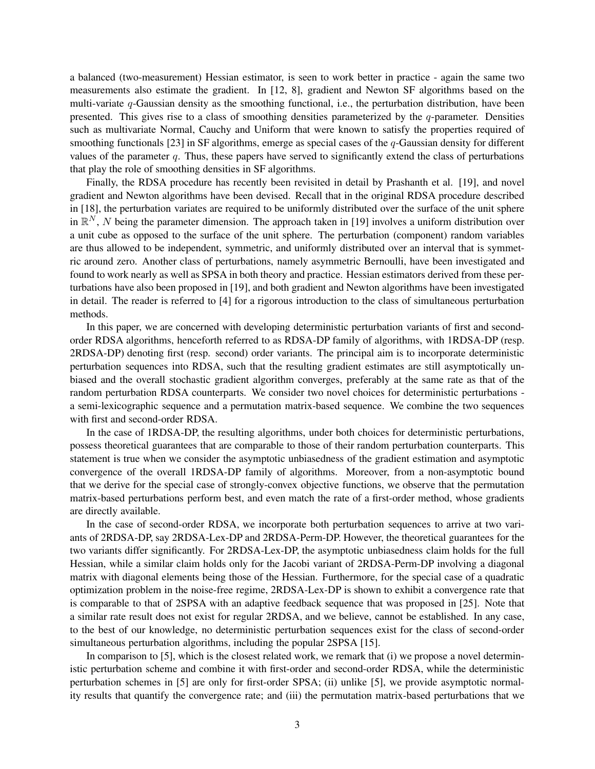a balanced (two-measurement) Hessian estimator, is seen to work better in practice - again the same two measurements also estimate the gradient. In [12, 8], gradient and Newton SF algorithms based on the multi-variate q-Gaussian density as the smoothing functional, i.e., the perturbation distribution, have been presented. This gives rise to a class of smoothing densities parameterized by the  $q$ -parameter. Densities such as multivariate Normal, Cauchy and Uniform that were known to satisfy the properties required of smoothing functionals [23] in SF algorithms, emerge as special cases of the q-Gaussian density for different values of the parameter q. Thus, these papers have served to significantly extend the class of perturbations that play the role of smoothing densities in SF algorithms.

Finally, the RDSA procedure has recently been revisited in detail by Prashanth et al. [19], and novel gradient and Newton algorithms have been devised. Recall that in the original RDSA procedure described in [18], the perturbation variates are required to be uniformly distributed over the surface of the unit sphere in  $\mathbb{R}^N$ , N being the parameter dimension. The approach taken in [19] involves a uniform distribution over a unit cube as opposed to the surface of the unit sphere. The perturbation (component) random variables are thus allowed to be independent, symmetric, and uniformly distributed over an interval that is symmetric around zero. Another class of perturbations, namely asymmetric Bernoulli, have been investigated and found to work nearly as well as SPSA in both theory and practice. Hessian estimators derived from these perturbations have also been proposed in [19], and both gradient and Newton algorithms have been investigated in detail. The reader is referred to [4] for a rigorous introduction to the class of simultaneous perturbation methods.

In this paper, we are concerned with developing deterministic perturbation variants of first and secondorder RDSA algorithms, henceforth referred to as RDSA-DP family of algorithms, with 1RDSA-DP (resp. 2RDSA-DP) denoting first (resp. second) order variants. The principal aim is to incorporate deterministic perturbation sequences into RDSA, such that the resulting gradient estimates are still asymptotically unbiased and the overall stochastic gradient algorithm converges, preferably at the same rate as that of the random perturbation RDSA counterparts. We consider two novel choices for deterministic perturbations a semi-lexicographic sequence and a permutation matrix-based sequence. We combine the two sequences with first and second-order RDSA.

In the case of 1RDSA-DP, the resulting algorithms, under both choices for deterministic perturbations, possess theoretical guarantees that are comparable to those of their random perturbation counterparts. This statement is true when we consider the asymptotic unbiasedness of the gradient estimation and asymptotic convergence of the overall 1RDSA-DP family of algorithms. Moreover, from a non-asymptotic bound that we derive for the special case of strongly-convex objective functions, we observe that the permutation matrix-based perturbations perform best, and even match the rate of a first-order method, whose gradients are directly available.

In the case of second-order RDSA, we incorporate both perturbation sequences to arrive at two variants of 2RDSA-DP, say 2RDSA-Lex-DP and 2RDSA-Perm-DP. However, the theoretical guarantees for the two variants differ significantly. For 2RDSA-Lex-DP, the asymptotic unbiasedness claim holds for the full Hessian, while a similar claim holds only for the Jacobi variant of 2RDSA-Perm-DP involving a diagonal matrix with diagonal elements being those of the Hessian. Furthermore, for the special case of a quadratic optimization problem in the noise-free regime, 2RDSA-Lex-DP is shown to exhibit a convergence rate that is comparable to that of 2SPSA with an adaptive feedback sequence that was proposed in [25]. Note that a similar rate result does not exist for regular 2RDSA, and we believe, cannot be established. In any case, to the best of our knowledge, no deterministic perturbation sequences exist for the class of second-order simultaneous perturbation algorithms, including the popular 2SPSA [15].

In comparison to [5], which is the closest related work, we remark that (i) we propose a novel deterministic perturbation scheme and combine it with first-order and second-order RDSA, while the deterministic perturbation schemes in [5] are only for first-order SPSA; (ii) unlike [5], we provide asymptotic normality results that quantify the convergence rate; and (iii) the permutation matrix-based perturbations that we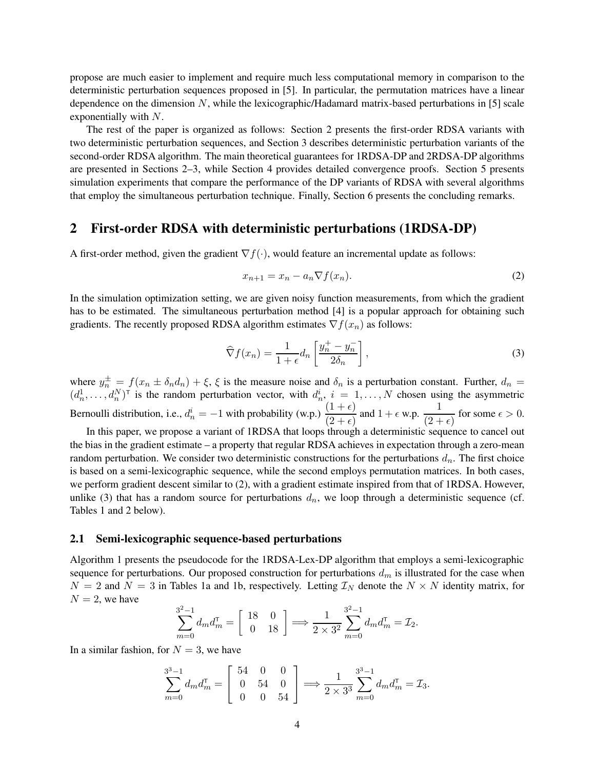propose are much easier to implement and require much less computational memory in comparison to the deterministic perturbation sequences proposed in [5]. In particular, the permutation matrices have a linear dependence on the dimension  $N$ , while the lexicographic/Hadamard matrix-based perturbations in [5] scale exponentially with N.

The rest of the paper is organized as follows: Section 2 presents the first-order RDSA variants with two deterministic perturbation sequences, and Section 3 describes deterministic perturbation variants of the second-order RDSA algorithm. The main theoretical guarantees for 1RDSA-DP and 2RDSA-DP algorithms are presented in Sections 2–3, while Section 4 provides detailed convergence proofs. Section 5 presents simulation experiments that compare the performance of the DP variants of RDSA with several algorithms that employ the simultaneous perturbation technique. Finally, Section 6 presents the concluding remarks.

# 2 First-order RDSA with deterministic perturbations (1RDSA-DP)

A first-order method, given the gradient  $\nabla f(\cdot)$ , would feature an incremental update as follows:

$$
x_{n+1} = x_n - a_n \nabla f(x_n). \tag{2}
$$

In the simulation optimization setting, we are given noisy function measurements, from which the gradient has to be estimated. The simultaneous perturbation method [4] is a popular approach for obtaining such gradients. The recently proposed RDSA algorithm estimates  $\nabla f(x_n)$  as follows:

$$
\widehat{\nabla} f(x_n) = \frac{1}{1 + \epsilon} d_n \left[ \frac{y_n^+ - y_n^-}{2\delta_n} \right],\tag{3}
$$

where  $y_n^{\pm} = f(x_n \pm \delta_n d_n) + \xi$ ,  $\xi$  is the measure noise and  $\delta_n$  is a perturbation constant. Further,  $d_n =$  $(d_n^1, \ldots, d_n^N)$ <sup>T</sup> is the random perturbation vector, with  $d_n^i$ ,  $i = 1, \ldots, N$  chosen using the asymmetric Bernoulli distribution, i.e.,  $d_n^i = -1$  with probability (w.p.)  $\frac{(1+\epsilon)}{(2+\epsilon)}$  and  $1+\epsilon$  w.p.  $\frac{1}{(2+\epsilon)}$  $\frac{1}{(2+\epsilon)}$  for some  $\epsilon > 0$ .

In this paper, we propose a variant of 1RDSA that loops through a deterministic sequence to cancel out the bias in the gradient estimate – a property that regular RDSA achieves in expectation through a zero-mean random perturbation. We consider two deterministic constructions for the perturbations  $d_n$ . The first choice is based on a semi-lexicographic sequence, while the second employs permutation matrices. In both cases, we perform gradient descent similar to (2), with a gradient estimate inspired from that of 1RDSA. However, unlike (3) that has a random source for perturbations  $d_n$ , we loop through a deterministic sequence (cf. Tables 1 and 2 below).

#### 2.1 Semi-lexicographic sequence-based perturbations

Algorithm 1 presents the pseudocode for the 1RDSA-Lex-DP algorithm that employs a semi-lexicographic sequence for perturbations. Our proposed construction for perturbations  $d_m$  is illustrated for the case when  $N = 2$  and  $N = 3$  in Tables 1a and 1b, respectively. Letting  $\mathcal{I}_N$  denote the  $N \times N$  identity matrix, for  $N = 2$ , we have

$$
\sum_{m=0}^{3^2-1} d_m d_m^{\mathsf{T}} = \begin{bmatrix} 18 & 0 \\ 0 & 18 \end{bmatrix} \Longrightarrow \frac{1}{2 \times 3^2} \sum_{m=0}^{3^2-1} d_m d_m^{\mathsf{T}} = \mathcal{I}_2.
$$

In a similar fashion, for  $N = 3$ , we have

$$
\sum_{m=0}^{3^3-1} d_m d_m^{\mathsf{T}} = \begin{bmatrix} 54 & 0 & 0 \\ 0 & 54 & 0 \\ 0 & 0 & 54 \end{bmatrix} \Longrightarrow \frac{1}{2 \times 3^3} \sum_{m=0}^{3^3-1} d_m d_m^{\mathsf{T}} = \mathcal{I}_3.
$$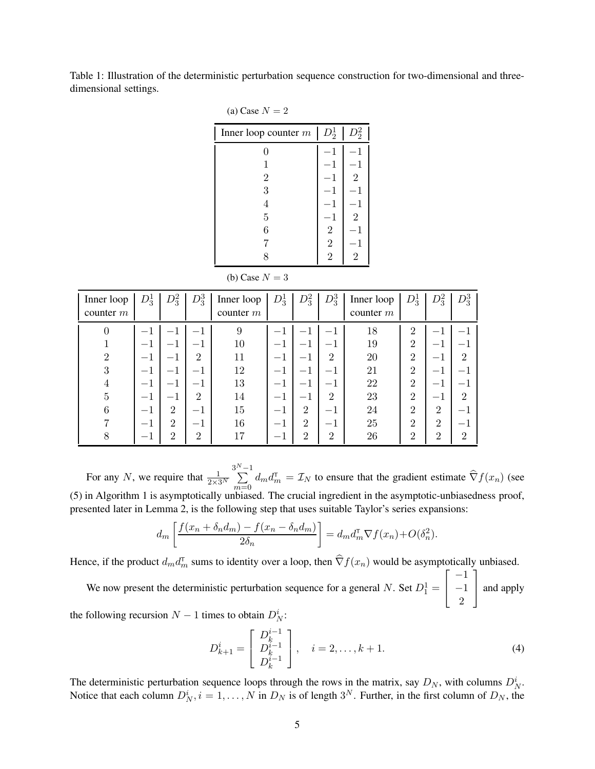Table 1: Illustration of the deterministic perturbation sequence construction for two-dimensional and threedimensional settings.

| (a) Case $N = 2$       |                |                |  |  |  |
|------------------------|----------------|----------------|--|--|--|
| Inner loop counter $m$ | $D_2^1$        | $D_2^2$        |  |  |  |
| 0                      | 1              | 1              |  |  |  |
| 1                      | 1              |                |  |  |  |
| $\overline{2}$         | 1              | $\overline{2}$ |  |  |  |
| 3                      | 1              |                |  |  |  |
| $\overline{4}$         | 1              |                |  |  |  |
| $\overline{5}$         | $^{-1}$        | $\overline{2}$ |  |  |  |
| 6                      | $\sqrt{2}$     |                |  |  |  |
| 7                      | $\overline{2}$ |                |  |  |  |
| 8                      | $\overline{2}$ | $\overline{2}$ |  |  |  |

(b) Case  $N = 3$ 

| Inner loop<br>counter $m$ | $D_3^1$ | $D_3^2$        | $D_3^3$         | Inner loop<br>counter $m$ | $D_3^1$ | $D_3^2$                  | $D_3^3$        | Inner loop<br>counter $m$ | $D_3^1$        | $D_3^2$                  | $D_3^3$                  |
|---------------------------|---------|----------------|-----------------|---------------------------|---------|--------------------------|----------------|---------------------------|----------------|--------------------------|--------------------------|
| $\theta$                  |         |                | $\qquad \qquad$ | 9                         |         | $\overline{\phantom{0}}$ | $-1$           | 18                        | $\overline{2}$ |                          |                          |
|                           |         | $-1$           | $-1$            | 10                        | $-1$    | $-1$                     |                | 19                        | $\overline{2}$ |                          |                          |
|                           | $-1$    | $-1$           | 2               | 11                        | $-1$    | $-1$                     | $\overline{2}$ | 20                        | $\overline{2}$ | $\overline{\phantom{m}}$ | $\overline{2}$           |
| 3                         | — 1     | $-1$           | — 1             | 12                        | $-1$    | $-1$                     | $-1$           | 21                        | $\overline{2}$ | $-1$                     | $\overline{\phantom{0}}$ |
| 4                         | — 1     | $-1$           | $-1$            | 13                        | $-1$    | $-1$                     | — I            | 22                        | $\overline{2}$ | $-1$                     |                          |
| 5                         |         | $-1$           | 2               | 14                        | $^{-1}$ | $-1$                     | $\overline{2}$ | 23                        | $\overline{2}$ |                          | $\overline{2}$           |
| 6                         | $-1$    | $\overline{2}$ | $-1$            | 15                        | $^{-1}$ | $\overline{2}$           | $-1$           | 24                        | $\overline{2}$ | 2                        |                          |
|                           |         | $\overline{2}$ | — 1             | 16                        | $-1$    | $\overline{2}$           | $-1$           | 25                        | $\overline{2}$ | $\overline{2}$           |                          |
|                           |         | $\overline{2}$ | $\overline{2}$  | 17                        | $-1$    | $\overline{2}$           | $\overline{2}$ | 26                        | $\overline{2}$ | $\overline{2}$           | 2                        |

For any N, we require that  $\frac{1}{2\times 3^N}$  $\sum_{n=1}^{3^N-1}$  $\sum_{m=0} d_m d_m^{\mathsf{T}} = \mathcal{I}_N$  to ensure that the gradient estimate  $\widehat{\nabla} f(x_n)$  (see (5) in Algorithm 1 is asymptotically unbiased. The crucial ingredient in the asymptotic-unbiasedness proof, presented later in Lemma 2, is the following step that uses suitable Taylor's series expansions:

$$
d_m\left[\frac{f(x_n + \delta_n d_m) - f(x_n - \delta_n d_m)}{2\delta_n}\right] = d_m d_m^{\mathsf{T}} \nabla f(x_n) + O(\delta_n^2).
$$

Hence, if the product  $d_m d_m^{\dagger}$  sums to identity over a loop, then  $\hat{\nabla} f(x_n)$  would be asymptotically unbiased.

We now present the deterministic perturbation sequence for a general N. Set  $D_1^1 =$  $\sqrt{ }$  $\overline{1}$ −1 −1 2 ן | and apply

the following recursion  $N-1$  times to obtain  $D_N^i$ :

$$
D_{k+1}^{i} = \begin{bmatrix} D_k^{i-1} \\ D_k^{i-1} \\ D_k^{i-1} \end{bmatrix}, \quad i = 2, \dots, k+1.
$$
 (4)

The deterministic perturbation sequence loops through the rows in the matrix, say  $D_N$ , with columns  $D_N^i$ . Notice that each column  $D_N^i$ ,  $i = 1, ..., N$  in  $D_N$  is of length  $3^N$ . Further, in the first column of  $D_N$ , the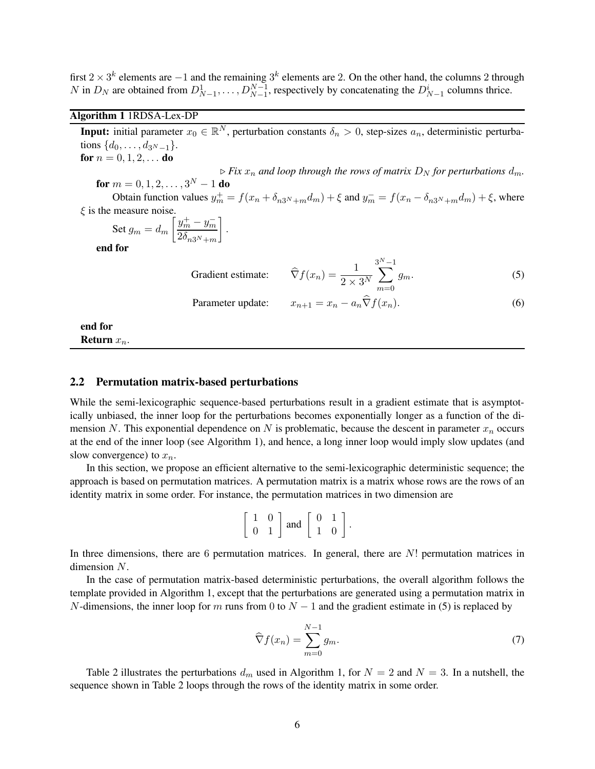first 2 × 3<sup>k</sup> elements are −1 and the remaining 3<sup>k</sup> elements are 2. On the other hand, the columns 2 through N in  $D_N$  are obtained from  $D_{N-1}^1, \ldots, D_{N-1}^{N-1}$ , respectively by concatenating the  $D_{N-1}^i$  columns thrice.

## Algorithm 1 1RDSA-Lex-DP

Return  $x_n$ .

**Input:** initial parameter  $x_0 \in \mathbb{R}^N$ , perturbation constants  $\delta_n > 0$ , step-sizes  $a_n$ , deterministic perturbations  $\{d_0, \ldots, d_{3N-1}\}.$ for  $n = 0, 1, 2, \ldots$  do  $\triangleright$  *Fix*  $x_n$  *and loop through the rows of matrix*  $D_N$  *for perturbations*  $d_m$ . for  $m = 0, 1, 2, \ldots, 3^N - 1$  do Obtain function values  $y_m^+ = f(x_n + \delta_{n3^N+m}d_m) + \xi$  and  $y_m^- = f(x_n - \delta_{n3^N+m}d_m) + \xi$ , where  $\xi$  is the measure noise. Set  $g_m = d_m$  $\int y_m^+ - y_m^ 2\delta_{n3^N+m}$ 1 . end for Gradient estimate:  $\widehat{\nabla} f(x_n) = \frac{1}{2 \times 3^N}$  $\sum^{3^N-1}$  $m=0$  $g_m.$  (5) Parameter update:  $x_{n+1} = x_n - a_n \widehat{\nabla} f(x_n).$  (6) end for

# 2.2 Permutation matrix-based perturbations

While the semi-lexicographic sequence-based perturbations result in a gradient estimate that is asymptotically unbiased, the inner loop for the perturbations becomes exponentially longer as a function of the dimension N. This exponential dependence on N is problematic, because the descent in parameter  $x_n$  occurs at the end of the inner loop (see Algorithm 1), and hence, a long inner loop would imply slow updates (and slow convergence) to  $x_n$ .

In this section, we propose an efficient alternative to the semi-lexicographic deterministic sequence; the approach is based on permutation matrices. A permutation matrix is a matrix whose rows are the rows of an identity matrix in some order. For instance, the permutation matrices in two dimension are

$$
\left[\begin{array}{cc} 1 & 0 \\ 0 & 1 \end{array}\right]
$$
 and 
$$
\left[\begin{array}{cc} 0 & 1 \\ 1 & 0 \end{array}\right].
$$

In three dimensions, there are 6 permutation matrices. In general, there are  $N!$  permutation matrices in dimension N.

In the case of permutation matrix-based deterministic perturbations, the overall algorithm follows the template provided in Algorithm 1, except that the perturbations are generated using a permutation matrix in N-dimensions, the inner loop for m runs from 0 to  $N-1$  and the gradient estimate in (5) is replaced by

$$
\widehat{\nabla} f(x_n) = \sum_{m=0}^{N-1} g_m.
$$
\n(7)

Table 2 illustrates the perturbations  $d_m$  used in Algorithm 1, for  $N = 2$  and  $N = 3$ . In a nutshell, the sequence shown in Table 2 loops through the rows of the identity matrix in some order.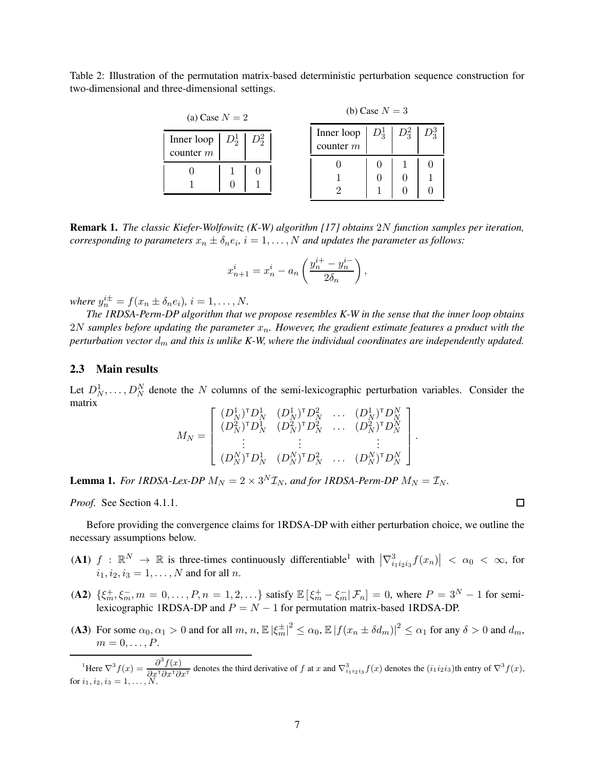Table 2: Illustration of the permutation matrix-based deterministic perturbation sequence construction for two-dimensional and three-dimensional settings.

| (a) Case $N = 2$          |                 |  | (b) Case $N = 3$ |                                                              |  |  |  |
|---------------------------|-----------------|--|------------------|--------------------------------------------------------------|--|--|--|
| Inner loop<br>counter $m$ | $D_2^1$ $D_2^2$ |  |                  | Inner loop $\mid D_3^1 \mid D_3^2 \mid D_3^3$<br>counter $m$ |  |  |  |
|                           |                 |  |                  |                                                              |  |  |  |
|                           |                 |  |                  |                                                              |  |  |  |

Remark 1. *The classic Kiefer-Wolfowitz (K-W) algorithm [17] obtains* 2N *function samples per iteration,*  $corresponding$  to parameters  $x_n \pm \delta_n e_i$ ,  $i = 1, \ldots, N$  and updates the parameter as follows:

$$
x_{n+1}^i = x_n^i - a_n \left( \frac{y_n^{i+} - y_n^{i-}}{2\delta_n} \right),
$$

*where*  $y_n^{i\pm} = f(x_n \pm \delta_n e_i)$ ,  $i = 1, ..., N$ .

*The 1RDSA-Perm-DP algorithm that we propose resembles K-W in the sense that the inner loop obtains*  $2N$  samples before updating the parameter  $x_n$ . However, the gradient estimate features a product with the *perturbation vector*  $d_m$  *and this is unlike K-W, where the individual coordinates are independently updated.* 

#### 2.3 Main results

Let  $D_N^1, \ldots, D_N^N$  denote the N columns of the semi-lexicographic perturbation variables. Consider the matrix

$$
M_N = \left[ \begin{array}{cccc} (D_N^1)^{\mathsf{T}} D_N^1 & (D_N^1)^{\mathsf{T}} D_N^2 & \ldots & (D_N^1)^{\mathsf{T}} D_N^N \\ (D_N^2)^{\mathsf{T}} D_N^1 & (D_N^2)^{\mathsf{T}} D_N^2 & \ldots & (D_N^2)^{\mathsf{T}} D_N^N \\ \vdots & \vdots & & \vdots \\ (D_N^N)^{\mathsf{T}} D_N^1 & (D_N^N)^{\mathsf{T}} D_N^2 & \ldots & (D_N^N)^{\mathsf{T}} D_N^N \end{array} \right]
$$

**Lemma 1.** For IRDSA-Lex-DP  $M_N = 2 \times 3^N \mathcal{I}_N$ , and for IRDSA-Perm-DP  $M_N = \mathcal{I}_N$ .

*Proof.* See Section 4.1.1.

Before providing the convergence claims for 1RDSA-DP with either perturbation choice, we outline the necessary assumptions below.

- (A1)  $f : \mathbb{R}^N \to \mathbb{R}$  is three-times continuously differentiable<sup>1</sup> with  $\left|\nabla^3_{i_1i_2i_3}f(x_n)\right| < \alpha_0 < \infty$ , for  $i_1, i_2, i_3 = 1, \ldots, N$  and for all n.
- (A2)  $\{\xi_m^+, \xi_m^-, m = 0, \dots, P, n = 1, 2, \dots\}$  satisfy  $\mathbb{E} [\xi_m^+ \xi_m^- | \mathcal{F}_n] = 0$ , where  $P = 3^N 1$  for semilexicographic 1RDSA-DP and  $P = N - 1$  for permutation matrix-based 1RDSA-DP.
- (A3) For some  $\alpha_0, \alpha_1 > 0$  and for all  $m, n, \mathbb{E} |\xi_m^{\pm}|^2 \leq \alpha_0, \mathbb{E} |f(x_n \pm \delta d_m)|^2 \leq \alpha_1$  for any  $\delta > 0$  and  $d_m$ ,  $m=0,\ldots,P.$

<sup>1</sup>Here  $\nabla^3 f(x) = \frac{\partial^3 f(x)}{\partial x \, \partial x \, \partial x}$  $\frac{\partial^2 f(x)}{\partial x^T \partial x^T \partial x^T}$  denotes the third derivative of f at x and  $\nabla_{i_1 i_2 i_3}^3 f(x)$  denotes the  $(i_1 i_2 i_3)$ th entry of  $\nabla^3 f(x)$ , for  $i_1, i_2, i_3 = 1, \ldots, N$ .

 $\Box$ 

.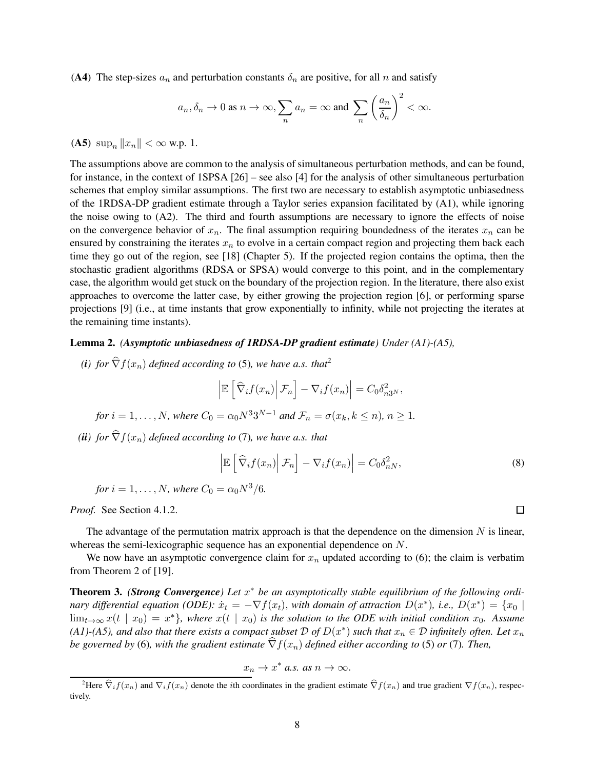(A4) The step-sizes  $a_n$  and perturbation constants  $\delta_n$  are positive, for all n and satisfy

$$
a_n, \delta_n \to 0
$$
 as  $n \to \infty$ ,  $\sum_n a_n = \infty$  and  $\sum_n \left(\frac{a_n}{\delta_n}\right)^2 < \infty$ .

(A5)  $\sup_n ||x_n|| < \infty$  w.p. 1.

The assumptions above are common to the analysis of simultaneous perturbation methods, and can be found, for instance, in the context of 1SPSA [26] – see also [4] for the analysis of other simultaneous perturbation schemes that employ similar assumptions. The first two are necessary to establish asymptotic unbiasedness of the 1RDSA-DP gradient estimate through a Taylor series expansion facilitated by (A1), while ignoring the noise owing to (A2). The third and fourth assumptions are necessary to ignore the effects of noise on the convergence behavior of  $x_n$ . The final assumption requiring boundedness of the iterates  $x_n$  can be ensured by constraining the iterates  $x_n$  to evolve in a certain compact region and projecting them back each time they go out of the region, see [18] (Chapter 5). If the projected region contains the optima, then the stochastic gradient algorithms (RDSA or SPSA) would converge to this point, and in the complementary case, the algorithm would get stuck on the boundary of the projection region. In the literature, there also exist approaches to overcome the latter case, by either growing the projection region [6], or performing sparse projections [9] (i.e., at time instants that grow exponentially to infinity, while not projecting the iterates at the remaining time instants).

#### Lemma 2. *(Asymptotic unbiasedness of 1RDSA-DP gradient estimate) Under (A1)-(A5),*

*(i)* for  $\widehat{\nabla} f(x_n)$  *defined according to* (5)*, we have a.s. that*<sup>2</sup>

$$
\left| \mathbb{E}\left[\left|\widehat{\nabla}_i f(x_n)\right| \mathcal{F}_n\right] - \nabla_i f(x_n) \right| = C_0 \delta_{n3^N}^2,
$$

for 
$$
i = 1, ..., N
$$
, where  $C_0 = \alpha_0 N^3 3^{N-1}$  and  $\mathcal{F}_n = \sigma(x_k, k \le n)$ ,  $n \ge 1$ .

*(ii)* for  $\hat{\nabla} f(x_n)$  *defined according to* (7)*, we have a.s. that* 

$$
\left| \mathbb{E}\left[\left|\widehat{\nabla}_i f(x_n)\right| \mathcal{F}_n\right] - \nabla_i f(x_n) \right| = C_0 \delta_{nN}^2,
$$
\n(8)

for 
$$
i = 1, ..., N
$$
, where  $C_0 = \alpha_0 N^3 / 6$ .

*Proof.* See Section 4.1.2.

The advantage of the permutation matrix approach is that the dependence on the dimension  $N$  is linear, whereas the semi-lexicographic sequence has an exponential dependence on N.

We now have an asymptotic convergence claim for  $x_n$  updated according to (6); the claim is verbatim from Theorem 2 of [19].

**Theorem 3.** *(Strong Convergence)* Let  $x^*$  be an asymptotically stable equilibrium of the following ordi*nary differential equation (ODE):*  $\dot{x}_t = -\nabla f(x_t)$ , *with domain of attraction*  $D(x^*)$ , *i.e.*,  $D(x^*) = \{x_0 \mid$  $\lim_{t\to\infty}x(t\mid x_0)=x^*$ , where  $x(t\mid x_0)$  is the solution to the ODE with initial condition  $x_0$ . Assume (A1)-(A5), and also that there exists a compact subset  $\mathcal D$  of  $D(x^*)$  such that  $x_n\in\mathcal D$  infinitely often. Let  $x_n$ *be governed by* (6), with the gradient estimate  $\hat{\nabla}f(x_n)$  defined either according to (5) or (7). Then,

$$
x_n \to x^* \text{ a.s. as } n \to \infty.
$$

<sup>&</sup>lt;sup>2</sup>Here  $\widehat{\nabla}_i f(x_n)$  and  $\nabla_i f(x_n)$  denote the *i*th coordinates in the gradient estimate  $\widehat{\nabla} f(x_n)$  and true gradient  $\nabla f(x_n)$ , respectively.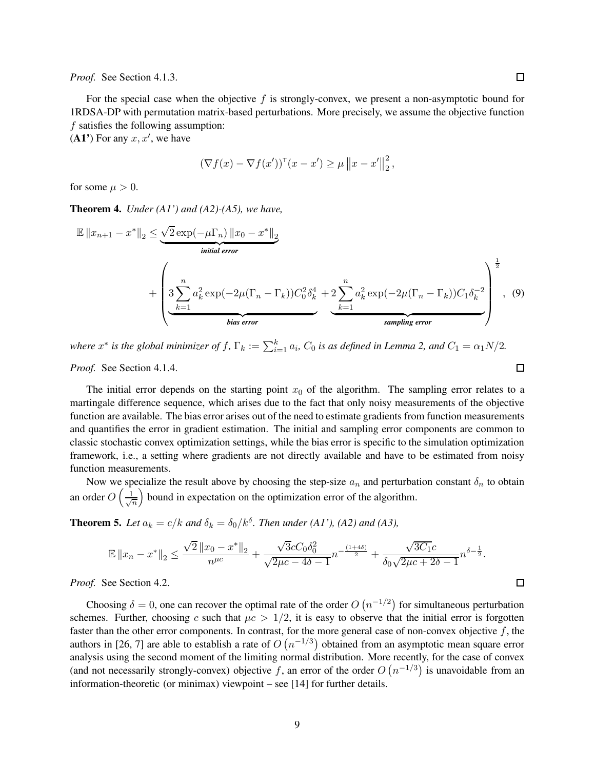*Proof.* See Section 4.1.3.

 $\Box$ 

For the special case when the objective  $f$  is strongly-convex, we present a non-asymptotic bound for 1RDSA-DP with permutation matrix-based perturbations. More precisely, we assume the objective function f satisfies the following assumption:

 $(A1')$  For any  $x, x'$ , we have

$$
(\nabla f(x) - \nabla f(x'))^{\mathsf{T}}(x - x') \ge \mu \|x - x'\|_2^2,
$$

for some  $\mu > 0$ .

Theorem 4. *Under (A1') and (A2)-(A5), we have,*

$$
\mathbb{E} \|x_{n+1} - x^*\|_2 \leq \underbrace{\sqrt{2} \exp(-\mu \Gamma_n) \|x_0 - x^*\|_2}_{\text{initial error}} + \left( \underbrace{3 \sum_{k=1}^n a_k^2 \exp(-2\mu (\Gamma_n - \Gamma_k)) C_0^2 \delta_k^4}_{\text{bias error}} + 2 \underbrace{\sum_{k=1}^n a_k^2 \exp(-2\mu (\Gamma_n - \Gamma_k)) C_1 \delta_k^{-2}}_{\text{sampling error}} \right)^{\frac{1}{2}}, \quad (9)
$$

where  $x^*$  is the global minimizer of  $f$ ,  $\Gamma_k := \sum_{i=1}^k a_i$ ,  $C_0$  is as defined in Lemma 2, and  $C_1 = \alpha_1 N/2$ . *Proof.* See Section 4.1.4.

The initial error depends on the starting point  $x<sub>0</sub>$  of the algorithm. The sampling error relates to a martingale difference sequence, which arises due to the fact that only noisy measurements of the objective function are available. The bias error arises out of the need to estimate gradients from function measurements and quantifies the error in gradient estimation. The initial and sampling error components are common to classic stochastic convex optimization settings, while the bias error is specific to the simulation optimization framework, i.e., a setting where gradients are not directly available and have to be estimated from noisy function measurements.

Now we specialize the result above by choosing the step-size  $a_n$  and perturbation constant  $\delta_n$  to obtain an order  $O\left(\frac{1}{\sqrt{2}}\right)$ n bound in expectation on the optimization error of the algorithm.

**Theorem 5.** Let  $a_k = c/k$  and  $\delta_k = \delta_0/k^{\delta}$ . Then under (A1'), (A2) and (A3),

$$
\mathbb{E} \|x_n - x^*\|_2 \le \frac{\sqrt{2} \|x_0 - x^*\|_2}{n^{\mu c}} + \frac{\sqrt{3}cC_0\delta_0^2}{\sqrt{2\mu c - 4\delta - 1}} n^{-\frac{(1+4\delta)}{2}} + \frac{\sqrt{3C_1}c}{\delta_0\sqrt{2\mu c + 2\delta - 1}} n^{\delta - \frac{1}{2}}.
$$

*Proof.* See Section 4.2.

Choosing  $\delta = 0$ , one can recover the optimal rate of the order  $O(n^{-1/2})$  for simultaneous perturbation schemes. Further, choosing c such that  $\mu c > 1/2$ , it is easy to observe that the initial error is forgotten faster than the other error components. In contrast, for the more general case of non-convex objective  $f$ , the authors in [26, 7] are able to establish a rate of  $O(n^{-1/3})$  obtained from an asymptotic mean square error analysis using the second moment of the limiting normal distribution. More recently, for the case of convex (and not necessarily strongly-convex) objective f, an error of the order  $O(n^{-1/3})$  is unavoidable from an information-theoretic (or minimax) viewpoint – see [14] for further details.

 $\Box$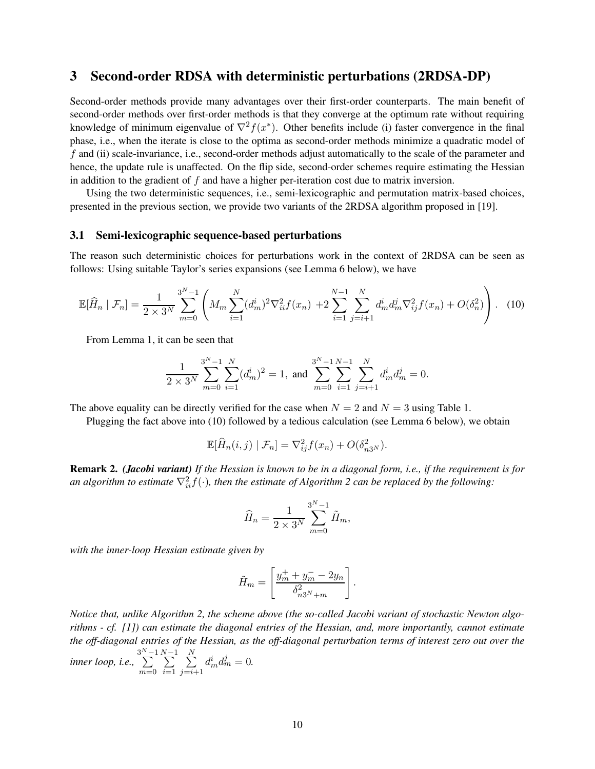# 3 Second-order RDSA with deterministic perturbations (2RDSA-DP)

Second-order methods provide many advantages over their first-order counterparts. The main benefit of second-order methods over first-order methods is that they converge at the optimum rate without requiring knowledge of minimum eigenvalue of  $\nabla^2 f(x^*)$ . Other benefits include (i) faster convergence in the final phase, i.e., when the iterate is close to the optima as second-order methods minimize a quadratic model of f and (ii) scale-invariance, i.e., second-order methods adjust automatically to the scale of the parameter and hence, the update rule is unaffected. On the flip side, second-order schemes require estimating the Hessian in addition to the gradient of f and have a higher per-iteration cost due to matrix inversion.

Using the two deterministic sequences, i.e., semi-lexicographic and permutation matrix-based choices, presented in the previous section, we provide two variants of the 2RDSA algorithm proposed in [19].

#### 3.1 Semi-lexicographic sequence-based perturbations

The reason such deterministic choices for perturbations work in the context of 2RDSA can be seen as follows: Using suitable Taylor's series expansions (see Lemma 6 below), we have

$$
\mathbb{E}[\hat{H}_n \mid \mathcal{F}_n] = \frac{1}{2 \times 3^N} \sum_{m=0}^{3^N - 1} \left( M_m \sum_{i=1}^N (d_m^i)^2 \nabla_{ii}^2 f(x_n) + 2 \sum_{i=1}^{N-1} \sum_{j=i+1}^N d_m^i d_m^j \nabla_{ij}^2 f(x_n) + O(\delta_n^2) \right). \tag{10}
$$

From Lemma 1, it can be seen that

$$
\frac{1}{2 \times 3^{N}} \sum_{m=0}^{3^{N}-1} \sum_{i=1}^{N} (d_{m}^{i})^{2} = 1, \text{ and } \sum_{m=0}^{3^{N}-1} \sum_{i=1}^{N-1} \sum_{j=i+1}^{N} d_{m}^{i} d_{m}^{j} = 0.
$$

The above equality can be directly verified for the case when  $N = 2$  and  $N = 3$  using Table 1.

Plugging the fact above into (10) followed by a tedious calculation (see Lemma 6 below), we obtain

$$
\mathbb{E}[\widehat{H}_n(i,j) | \mathcal{F}_n] = \nabla_{ij}^2 f(x_n) + O(\delta_{n3^N}^2).
$$

Remark 2. *(Jacobi variant) If the Hessian is known to be in a diagonal form, i.e., if the requirement is for* an algorithm to estimate  $\nabla_{ii}^2 f(\cdot)$ , then the estimate of Algorithm 2 can be replaced by the following:

$$
\widehat{H}_n = \frac{1}{2 \times 3^N} \sum_{m=0}^{3^N - 1} \widetilde{H}_m,
$$

*with the inner-loop Hessian estimate given by*

$$
\tilde{H}_m = \left[ \frac{y_m^+ + y_m^- - 2y_n}{\delta_{n3^N + m}^2} \right].
$$

*Notice that, unlike Algorithm 2, the scheme above (the so-called Jacobi variant of stochastic Newton algorithms - cf. [1]) can estimate the diagonal entries of the Hessian, and, more importantly, cannot estimate the off-diagonal entries of the Hessian, as the off-diagonal perturbation terms of interest zero out over the*  $\emph{inner loop}, i.e., \sum_{i=1}^{3^{N}-1}$  $m=0$  $\sum_{n=1}^{N-1}$  $\frac{i=1}{i}$  $\sum_{i=1}^{N}$  $_{j=i+1}$  $d_m^i d_m^j = 0.$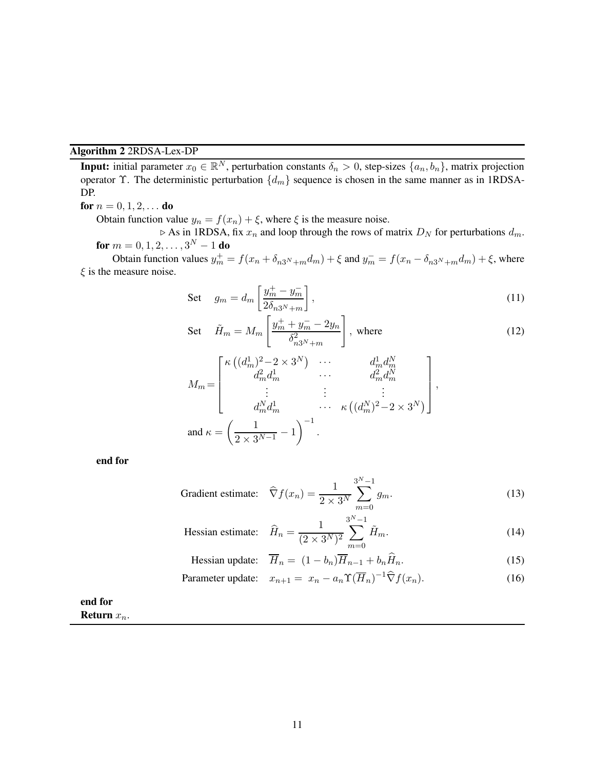### Algorithm 2 2RDSA-Lex-DP

**Input:** initial parameter  $x_0 \in \mathbb{R}^N$ , perturbation constants  $\delta_n > 0$ , step-sizes  $\{a_n, b_n\}$ , matrix projection operator  $\Upsilon$ . The deterministic perturbation  $\{d_m\}$  sequence is chosen in the same manner as in 1RDSA-DP.

### for  $n = 0, 1, 2, ...$  do

Obtain function value  $y_n = f(x_n) + \xi$ , where  $\xi$  is the measure noise.

 $\triangleright$  As in 1RDSA, fix  $x_n$  and loop through the rows of matrix  $D_N$  for perturbations  $d_m$ . for  $m = 0, 1, 2, \ldots, 3^N - 1$  do

Obtain function values  $y_m^+ = f(x_n + \delta_{n3^N+m}d_m) + \xi$  and  $y_m^- = f(x_n - \delta_{n3^N+m}d_m) + \xi$ , where  $\xi$  is the measure noise.

Set 
$$
g_m = d_m \left[ \frac{y_m^+ - y_m^-}{2 \delta_{n3^N + m}} \right],
$$
 (11)

Set 
$$
\tilde{H}_m = M_m \left[ \frac{y_m^+ + y_m^- - 2y_n}{\delta_{n3^N + m}^2} \right]
$$
, where  
\n
$$
\begin{bmatrix}\n\kappa \left( (d_m^1)^2 - 2 \times 3^N \right) & \cdots & d_m^1 d_m^N \\
d_m^2 d_m^1 & \cdots & d_m^2 d_m^N\n\end{bmatrix}
$$
\n(12)

$$
M_{m} = \begin{bmatrix} 1 & 0 & 0 & 0 \\ 0 & 0 & 0 & 0 \\ 0 & 0 & 0 & 0 \\ 0 & 0 & 0 & 0 \\ 0 & 0 & 0 & 0 \\ 0 & 0 & 0 & 0 \end{bmatrix},
$$
  
and 
$$
\kappa = \left(\frac{1}{2 \times 3^{N-1}} - 1\right)^{-1}.
$$

end for

Gradient estimate: 
$$
\widehat{\nabla} f(x_n) = \frac{1}{2 \times 3^N} \sum_{m=0}^{3^N - 1} g_m.
$$
 (13)

Hessian estimate: 
$$
\widehat{H}_n = \frac{1}{(2 \times 3^N)^2} \sum_{m=0}^{3^N - 1} \widetilde{H}_m.
$$
 (14)

Hessian update: 
$$
\overline{H}_n = (1 - b_n) \overline{H}_{n-1} + b_n \widehat{H}_n.
$$
 (15)

$$
\text{Parameter update:} \quad x_{n+1} = x_n - a_n \Upsilon(\overline{H}_n)^{-1} \widehat{\nabla} f(x_n). \tag{16}
$$

end for Return  $x_n$ .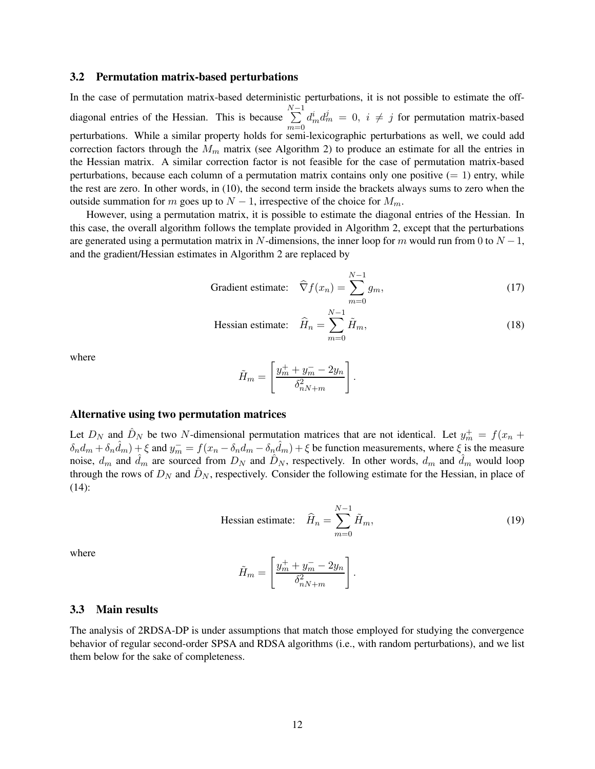#### 3.2 Permutation matrix-based perturbations

In the case of permutation matrix-based deterministic perturbations, it is not possible to estimate the offdiagonal entries of the Hessian. This is because  $\sum_{n=1}^{N-1}$  $m=0$  $d_m^i d_m^j = 0$ ,  $i \neq j$  for permutation matrix-based perturbations. While a similar property holds for semi-lexicographic perturbations as well, we could add correction factors through the  $M_m$  matrix (see Algorithm 2) to produce an estimate for all the entries in the Hessian matrix. A similar correction factor is not feasible for the case of permutation matrix-based perturbations, because each column of a permutation matrix contains only one positive  $(= 1)$  entry, while the rest are zero. In other words, in (10), the second term inside the brackets always sums to zero when the outside summation for m goes up to  $N-1$ , irrespective of the choice for  $M_m$ .

However, using a permutation matrix, it is possible to estimate the diagonal entries of the Hessian. In this case, the overall algorithm follows the template provided in Algorithm 2, except that the perturbations are generated using a permutation matrix in N-dimensions, the inner loop for m would run from 0 to  $N-1$ , and the gradient/Hessian estimates in Algorithm 2 are replaced by

Gradient estimate: 
$$
\widehat{\nabla} f(x_n) = \sum_{m=0}^{N-1} g_m,
$$
 (17)

Hessian estimate: 
$$
\widehat{H}_n = \sum_{m=0}^{N-1} \widetilde{H}_m,
$$
 (18)

.

where

$$
\tilde{H}_m = \left[ \frac{y_m^+ + y_m^- - 2y_n}{\delta_{nN+m}^2} \right]
$$

#### Alternative using two permutation matrices

Let  $D_N$  and  $\hat{D}_N$  be two N-dimensional permutation matrices that are not identical. Let  $y_m^+ = f(x_n +$  $\delta_n d_m + \delta_n \hat{d}_m + \xi$  and  $y_m^- = f(x_n - \delta_n \hat{d}_m - \delta_n \hat{d}_m) + \xi$  be function measurements, where  $\xi$  is the measure noise,  $d_m$  and  $\hat{d}_m$  are sourced from  $D_N$  and  $\hat{D}_N$ , respectively. In other words,  $d_m$  and  $\hat{d}_m$  would loop through the rows of  $D_N$  and  $D_N$ , respectively. Consider the following estimate for the Hessian, in place of (14):

Hessian estimate: 
$$
\hat{H}_n = \sum_{m=0}^{N-1} \tilde{H}_m,
$$
 (19)

.

where

$$
\tilde{H}_m = \left[ \frac{y_m^+ + y_m^- - 2y_n}{\delta_{nN+m}^2} \right]
$$

#### 3.3 Main results

The analysis of 2RDSA-DP is under assumptions that match those employed for studying the convergence behavior of regular second-order SPSA and RDSA algorithms (i.e., with random perturbations), and we list them below for the sake of completeness.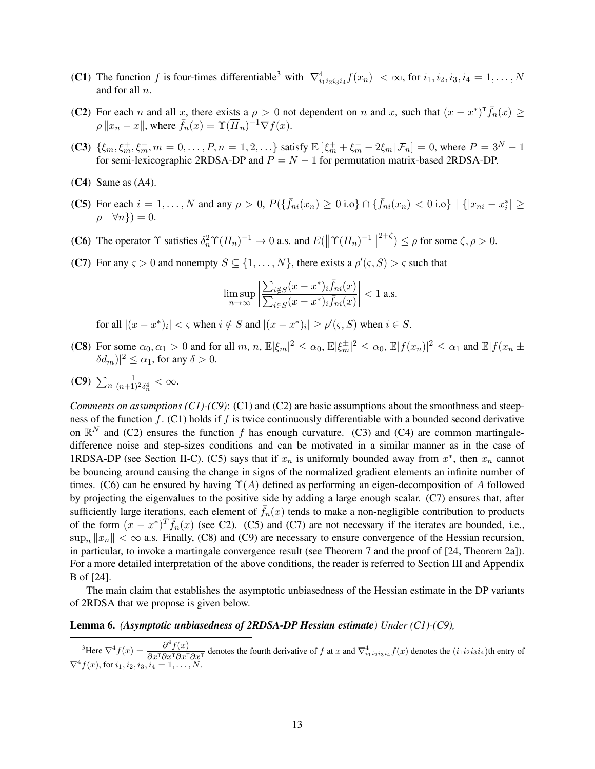- (C1) The function f is four-times differentiable<sup>3</sup> with  $\left|\nabla_{i_1i_2i_3i_4}^4f(x_n)\right| < \infty$ , for  $i_1, i_2, i_3, i_4 = 1, \ldots, N$ and for all n.
- (C2) For each n and all x, there exists a  $\rho > 0$  not dependent on n and x, such that  $(x x^*)^T \bar{f}_n(x) \ge$  $\rho ||x_n - x||$ , where  $\bar{f}_n(x) = \Upsilon(\overline{H}_n)^{-1} \nabla f(x)$ .
- (C3)  $\{\xi_m, \xi_m^+, \xi_m^-, m = 0, \dots, P, n = 1, 2, \dots\}$  satisfy  $\mathbb{E}[\xi_m^+ + \xi_m^- 2\xi_m | \mathcal{F}_n] = 0$ , where  $P = 3^N 1$ for semi-lexicographic 2RDSA-DP and  $P = N - 1$  for permutation matrix-based 2RDSA-DP.
- $(C4)$  Same as  $(A4)$ .
- (C5) For each  $i = 1, ..., N$  and any  $\rho > 0$ ,  $P(\{\bar{f}_{ni}(x_n) \ge 0 \text{ i.o}\} \cap {\{\bar{f}_{ni}(x_n) < 0 \text{ i.o}\}\mid \{|x_{ni} x_i^*| \ge 0 \text{ i.o}\}\}$  $\rho \quad \forall n \}) = 0.$
- (C6) The operator  $\Upsilon$  satisfies  $\delta_n^2 \Upsilon(H_n)^{-1} \to 0$  a.s. and  $E(||\Upsilon(H_n)^{-1}||^{2+\zeta}) \le \rho$  for some  $\zeta, \rho > 0$ .
- (C7) For any  $\varsigma > 0$  and nonempty  $S \subseteq \{1, ..., N\}$ , there exists a  $\rho'(\varsigma, S) > \varsigma$  such that

$$
\limsup_{n \to \infty} \left| \frac{\sum_{i \notin S} (x - x^*)_i \bar{f}_{ni}(x)}{\sum_{i \in S} (x - x^*)_i \bar{f}_{ni}(x)} \right| < 1 \text{ a.s.}
$$

for all  $|(x - x^*)_i| < \varsigma$  when  $i \notin S$  and  $|(x - x^*)_i| \ge \rho'(\varsigma, S)$  when  $i \in S$ .

- (C8) For some  $\alpha_0, \alpha_1 > 0$  and for all  $m, n, \mathbb{E} |\xi_m|^2 \leq \alpha_0$ ,  $\mathbb{E} |\xi_m^{\pm}|^2 \leq \alpha_0$ ,  $\mathbb{E} |f(x_n)|^2 \leq \alpha_1$  and  $\mathbb{E} |f(x_n \pm \xi_n)|^2$  $\delta d_m$ ) $|^2 \leq \alpha_1$ , for any  $\delta > 0$ .
- (C9)  $\sum_{n} \frac{1}{(n+1)^2 \delta_n^4} < \infty$ .

*Comments on assumptions (C1)-(C9)*: (C1) and (C2) are basic assumptions about the smoothness and steepness of the function  $f$ . (C1) holds if f is twice continuously differentiable with a bounded second derivative on  $\mathbb{R}^N$  and (C2) ensures the function f has enough curvature. (C3) and (C4) are common martingaledifference noise and step-sizes conditions and can be motivated in a similar manner as in the case of 1RDSA-DP (see Section II-C). (C5) says that if  $x_n$  is uniformly bounded away from  $x^*$ , then  $x_n$  cannot be bouncing around causing the change in signs of the normalized gradient elements an infinite number of times. (C6) can be ensured by having  $\Upsilon(A)$  defined as performing an eigen-decomposition of A followed by projecting the eigenvalues to the positive side by adding a large enough scalar. (C7) ensures that, after sufficiently large iterations, each element of  $f_n(x)$  tends to make a non-negligible contribution to products of the form  $(x - x^*)^T \bar{f}_n(x)$  (see C2). (C5) and (C7) are not necessary if the iterates are bounded, i.e.,  $\sup_n ||x_n|| < \infty$  a.s. Finally, (C8) and (C9) are necessary to ensure convergence of the Hessian recursion, in particular, to invoke a martingale convergence result (see Theorem 7 and the proof of [24, Theorem 2a]). For a more detailed interpretation of the above conditions, the reader is referred to Section III and Appendix B of [24].

The main claim that establishes the asymptotic unbiasedness of the Hessian estimate in the DP variants of 2RDSA that we propose is given below.

#### Lemma 6. *(Asymptotic unbiasedness of 2RDSA-DP Hessian estimate) Under (C1)-(C9),*

<sup>3</sup>Here  $\nabla^4 f(x) = \frac{\partial^4 f(x)}{\partial x \partial y}$  $\frac{\partial f(x)}{\partial x^T \partial x^T \partial x^T}$  denotes the fourth derivative of f at x and  $\nabla_{i_1 i_2 i_3 i_4}^4 f(x)$  denotes the  $(i_1 i_2 i_3 i_4)$ th entry of  $\nabla^4 f(x)$ , for  $i_1, i_2, i_3, i_4 = 1, \ldots, N$ .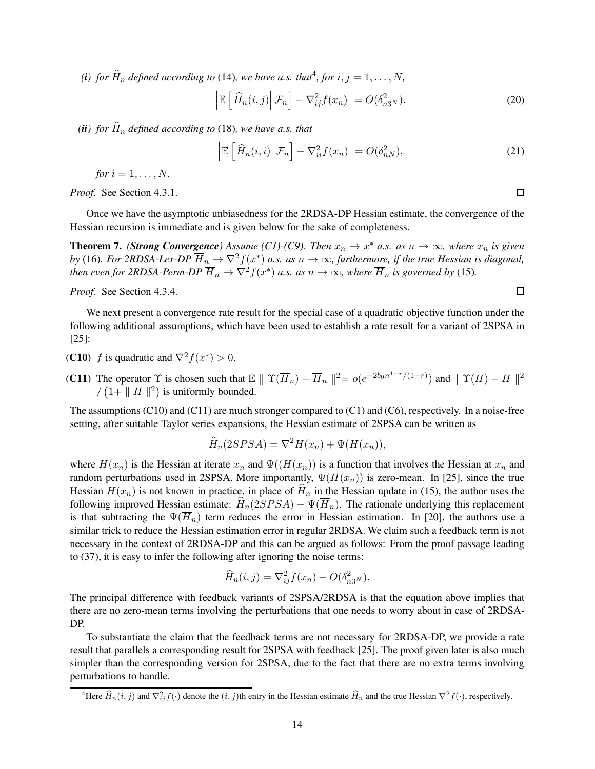(*i*) for  $\widehat{H}_n$  defined according to (14), we have a.s. that<sup>4</sup>, for  $i, j = 1, ..., N$ ,

$$
\left| \mathbb{E}\left[\widehat{H}_n(i,j) \middle| \mathcal{F}_n \right] - \nabla_{ij}^2 f(x_n) \right| = O(\delta_{n3^N}^2). \tag{20}
$$

*(ii)* for  $\widehat{H}_n$  defined according to (18), we have a.s. that

$$
\left| \mathbb{E}\left[\widehat{H}_n(i,i) \middle| \mathcal{F}_n \right] - \nabla_{ii}^2 f(x_n) \right| = O(\delta_{nN}^2),\tag{21}
$$

*for*  $i = 1, ..., N$ .

*Proof.* See Section 4.3.1.

Once we have the asymptotic unbiasedness for the 2RDSA-DP Hessian estimate, the convergence of the Hessian recursion is immediate and is given below for the sake of completeness.

**Theorem 7.** *(Strong Convergence)* Assume *(C1)-(C9). Then*  $x_n \to x^*$  *a.s.* as  $n \to \infty$ *, where*  $x_n$  *is given* by (16). For 2RDSA-Lex-DP  $\overline{H}_n \to \nabla^2 f(x^*)$  a.s. as  $n \to \infty$ , furthermore, if the true Hessian is diagonal, *then even for 2RDSA-Perm-DP*  $\overline{H}_n \to \nabla^2 f(x^*)$  *a.s. as*  $n \to \infty$ *, where*  $\overline{H}_n$  *is governed by* (15)*.* 

*Proof.* See Section 4.3.4.

We next present a convergence rate result for the special case of a quadratic objective function under the following additional assumptions, which have been used to establish a rate result for a variant of 2SPSA in [25]:

- (**C10**) *f* is quadratic and  $\nabla^2 f(x^*) > 0$ .
- **(C11)** The operator  $\Upsilon$  is chosen such that  $\mathbb{E} \parallel \Upsilon(\overline{H}_n) \overline{H}_n \parallel^2 = o(e^{-2b_0 n^{1-r}/(1-r)})$  and  $\parallel \Upsilon(H) H \parallel^2$  $/(1 + ||H||^2)$  is uniformly bounded.

The assumptions (C10) and (C11) are much stronger compared to (C1) and (C6), respectively. In a noise-free setting, after suitable Taylor series expansions, the Hessian estimate of 2SPSA can be written as

$$
\widehat{H}_n(2SPSA) = \nabla^2 H(x_n) + \Psi(H(x_n)),
$$

where  $H(x_n)$  is the Hessian at iterate  $x_n$  and  $\Psi((H(x_n))$  is a function that involves the Hessian at  $x_n$  and random perturbations used in 2SPSA. More importantly,  $\Psi(H(x_n))$  is zero-mean. In [25], since the true Hessian  $H(x_n)$  is not known in practice, in place of  $\hat{H}_n$  in the Hessian update in (15), the author uses the following improved Hessian estimate:  $\hat{H}_n(2SPSA) - \Psi(\overline{H}_n)$ . The rationale underlying this replacement is that subtracting the  $\Psi(\overline{H}_n)$  term reduces the error in Hessian estimation. In [20], the authors use a similar trick to reduce the Hessian estimation error in regular 2RDSA. We claim such a feedback term is not necessary in the context of 2RDSA-DP and this can be argued as follows: From the proof passage leading to (37), it is easy to infer the following after ignoring the noise terms:

$$
\widehat{H}_n(i,j) = \nabla_{ij}^2 f(x_n) + O(\delta_{n3^N}^2).
$$

The principal difference with feedback variants of 2SPSA/2RDSA is that the equation above implies that there are no zero-mean terms involving the perturbations that one needs to worry about in case of 2RDSA-DP.

To substantiate the claim that the feedback terms are not necessary for 2RDSA-DP, we provide a rate result that parallels a corresponding result for 2SPSA with feedback [25]. The proof given later is also much simpler than the corresponding version for 2SPSA, due to the fact that there are no extra terms involving perturbations to handle.

 $\Box$ 

<sup>&</sup>lt;sup>4</sup>Here  $\widehat{H}_n(i,j)$  and  $\nabla^2_{ij}f(\cdot)$  denote the  $(i, j)$ th entry in the Hessian estimate  $\widehat{H}_n$  and the true Hessian  $\nabla^2 f(\cdot)$ , respectively.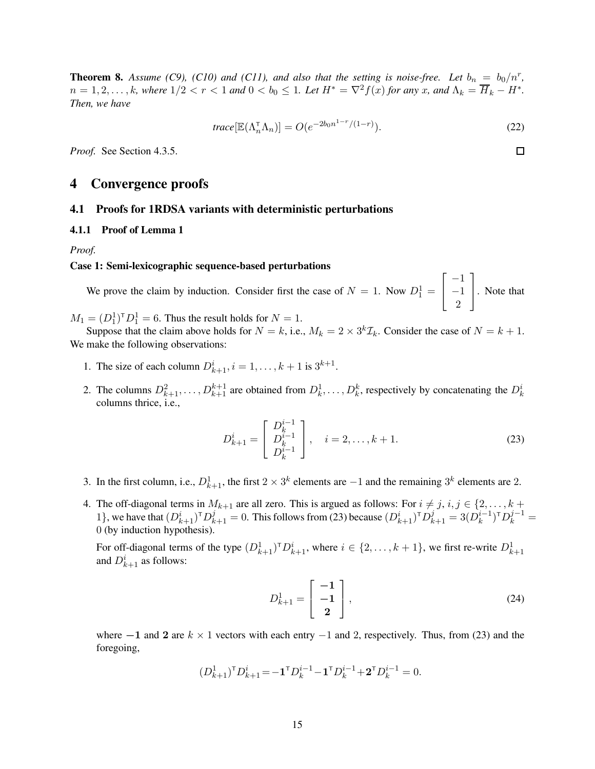**Theorem 8.** Assume (C9), (C10) and (C11), and also that the setting is noise-free. Let  $b_n = b_0/n^r$ ,  $n = 1, 2, \ldots, k$ , where  $1/2 < r < 1$  and  $0 < b_0 \le 1$ . Let  $H^* = \nabla^2 f(x)$  for any x, and  $\Lambda_k = \overline{H}_k - H^*$ . *Then, we have*

$$
trace[\mathbb{E}(\Lambda_n^{\top} \Lambda_n)] = O(e^{-2b_0 n^{1-r}/(1-r)}).
$$
\n(22)

*Proof.* See Section 4.3.5.

# 4 Convergence proofs

#### 4.1 Proofs for 1RDSA variants with deterministic perturbations

#### 4.1.1 Proof of Lemma 1

*Proof.*

#### Case 1: Semi-lexicographic sequence-based perturbations

We prove the claim by induction. Consider first the case of  $N = 1$ . Now  $D_1^1 =$  $\sqrt{ }$  $\overline{1}$ −1 −1 2 1 . Note that

 $M_1 = (D_1^1)^T D_1^1 = 6$ . Thus the result holds for  $N = 1$ .

Suppose that the claim above holds for  $N = k$ , i.e.,  $M_k = 2 \times 3^k \mathcal{I}_k$ . Consider the case of  $N = k + 1$ . We make the following observations:

- 1. The size of each column  $D_{k+1}^{i}$ ,  $i = 1, ..., k+1$  is  $3^{k+1}$ .
- 2. The columns  $D_{k+1}^2, \ldots, D_{k+1}^{k+1}$  are obtained from  $D_k^1, \ldots, D_k^k$ , respectively by concatenating the  $D_k^i$ columns thrice, i.e.,

$$
D_{k+1}^{i} = \begin{bmatrix} D_k^{i-1} \\ D_k^{i-1} \\ D_k^{i-1} \end{bmatrix}, \quad i = 2, \dots, k+1.
$$
 (23)

- 3. In the first column, i.e.,  $D_{k+1}^1$ , the first  $2 \times 3^k$  elements are  $-1$  and the remaining  $3^k$  elements are 2.
- 4. The off-diagonal terms in  $M_{k+1}$  are all zero. This is argued as follows: For  $i \neq j$ ,  $i, j \in \{2, \ldots, k + j\}$ 1}, we have that  $(D_{k+1}^i)^{\text{T}} D_{k+1}^j = 0$ . This follows from (23) because  $(D_{k+1}^i)^{\text{T}} D_{k+1}^j = 3(D_k^{i-1})^{\text{T}} D_k^{j-1} =$ 0 (by induction hypothesis).

For off-diagonal terms of the type  $(D_{k+1}^1)^{\dagger}D_{k+1}^i$ , where  $i \in \{2, \ldots, k+1\}$ , we first re-write  $D_{k+1}^1$ and  $D_{k+1}^i$  as follows:

$$
D_{k+1}^1 = \begin{bmatrix} -1 \\ -1 \\ 2 \end{bmatrix},\tag{24}
$$

where  $-1$  and 2 are  $k \times 1$  vectors with each entry  $-1$  and 2, respectively. Thus, from (23) and the foregoing,

$$
(D_{k+1}^1)^{\mathsf{T}} D_{k+1}^i = -\mathbf{1}^{\mathsf{T}} D_k^{i-1} - \mathbf{1}^{\mathsf{T}} D_k^{i-1} + \mathbf{2}^{\mathsf{T}} D_k^{i-1} = 0.
$$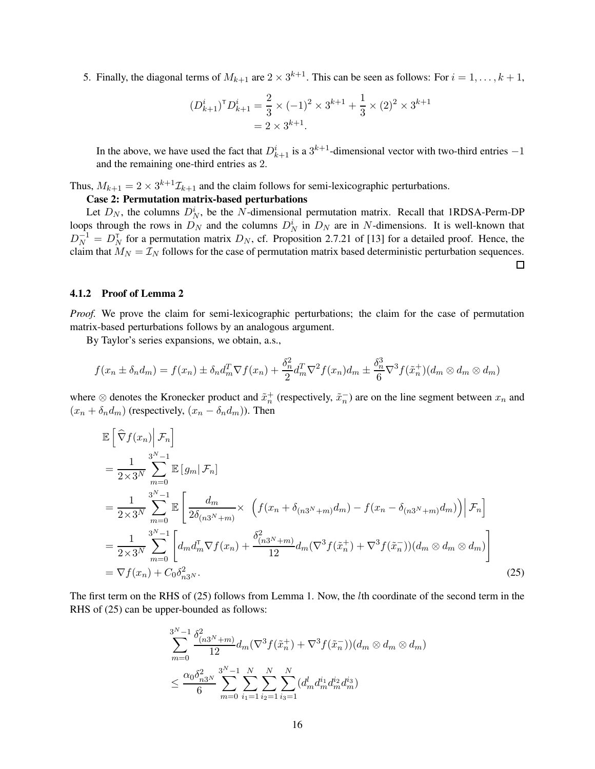5. Finally, the diagonal terms of  $M_{k+1}$  are  $2 \times 3^{k+1}$ . This can be seen as follows: For  $i = 1, ..., k+1$ ,

$$
(D_{k+1}^i)^{\mathsf{T}} D_{k+1}^i = \frac{2}{3} \times (-1)^2 \times 3^{k+1} + \frac{1}{3} \times (2)^2 \times 3^{k+1} = 2 \times 3^{k+1}.
$$

In the above, we have used the fact that  $D_{k+1}^i$  is a  $3^{k+1}$ -dimensional vector with two-third entries  $-1$ and the remaining one-third entries as 2.

Thus,  $M_{k+1} = 2 \times 3^{k+1} \mathcal{I}_{k+1}$  and the claim follows for semi-lexicographic perturbations.

### Case 2: Permutation matrix-based perturbations

Let  $D_N$ , the columns  $D_N^i$ , be the N-dimensional permutation matrix. Recall that 1RDSA-Perm-DP loops through the rows in  $D_N$  and the columns  $D_N^i$  in  $D_N$  are in N-dimensions. It is well-known that  $D_N^{-1} = D_N^{\dagger}$  for a permutation matrix  $D_N$ , cf. Proposition 2.7.21 of [13] for a detailed proof. Hence, the claim that  $M_N = \mathcal{I}_N$  follows for the case of permutation matrix based deterministic perturbation sequences.

#### 4.1.2 Proof of Lemma 2

*Proof.* We prove the claim for semi-lexicographic perturbations; the claim for the case of permutation matrix-based perturbations follows by an analogous argument.

By Taylor's series expansions, we obtain, a.s.,

$$
f(x_n \pm \delta_n d_m) = f(x_n) \pm \delta_n d_m^T \nabla f(x_n) + \frac{\delta_n^2}{2} d_m^T \nabla^2 f(x_n) d_m \pm \frac{\delta_n^3}{6} \nabla^3 f(\tilde{x}_n^+)(d_m \otimes d_m \otimes d_m)
$$

where  $\otimes$  denotes the Kronecker product and  $\tilde{x}_n^+$  (respectively,  $\tilde{x}_n^-$ ) are on the line segment between  $x_n$  and  $(x_n + \delta_n d_m)$  (respectively,  $(x_n - \delta_n d_m)$ ). Then

$$
\mathbb{E}\left[\hat{\nabla}f(x_n)\Big|\mathcal{F}_n\right] \n= \frac{1}{2\times 3^N} \sum_{m=0}^{3^N-1} \mathbb{E}\left[g_m|\mathcal{F}_n\right] \n= \frac{1}{2\times 3^N} \sum_{m=0}^{3^N-1} \mathbb{E}\left[\frac{d_m}{2\delta_{(n3^N+m)}}\times \left(f(x_n+\delta_{(n3^N+m)}d_m) - f(x_n-\delta_{(n3^N+m)}d_m)\right)\Big|\mathcal{F}_n\right] \n= \frac{1}{2\times 3^N} \sum_{m=0}^{3^N-1} \left[d_m d_m^{\mathsf{T}} \nabla f(x_n) + \frac{\delta_{(n3^N+m)}^2}{12} d_m (\nabla^3 f(\tilde{x}_n^+) + \nabla^3 f(\tilde{x}_n^-))(d_m \otimes d_m \otimes d_m)\right] \n= \nabla f(x_n) + C_0 \delta_{n3^N}^2.
$$
\n(25)

The first term on the RHS of (25) follows from Lemma 1. Now, the lth coordinate of the second term in the RHS of (25) can be upper-bounded as follows:

$$
\sum_{m=0}^{3^{N}-1} \frac{\delta_{(n3^{N}+m)}^{2}}{12} d_{m} (\nabla^{3} f(\tilde{x}_{n}^{+}) + \nabla^{3} f(\tilde{x}_{n}^{-})) (d_{m} \otimes d_{m} \otimes d_{m})
$$
  

$$
\leq \frac{\alpha_{0} \delta_{n3^{N}}^{2}}{6} \sum_{m=0}^{3^{N}-1} \sum_{i_{1}=1}^{N} \sum_{i_{2}=1}^{N} \sum_{i_{3}=1}^{N} (d_{m}^{l} d_{m}^{i_{1}} d_{m}^{i_{2}} d_{m}^{i_{3}})
$$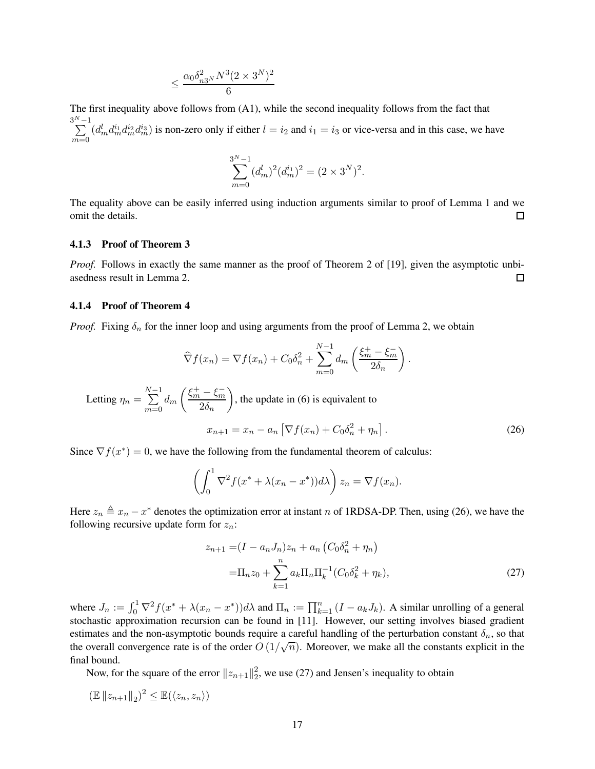$$
\leq \frac{\alpha_0 \delta_{n3^N}^2 N^3 (2 \times 3^N)^2}{6}
$$

The first inequality above follows from (A1), while the second inequality follows from the fact that  $\sum_{n=1}^{3^N-1}$  $m=0$  $(d_m^l d_m^i d_m^{i_2} d_m^{i_3})$  is non-zero only if either  $l = i_2$  and  $i_1 = i_3$  or vice-versa and in this case, we have

$$
\sum_{m=0}^{3^{N}-1} (d_{m}^{l})^{2} (d_{m}^{i})^{2} = (2 \times 3^{N})^{2}.
$$

The equality above can be easily inferred using induction arguments similar to proof of Lemma 1 and we omit the details. 口

#### 4.1.3 Proof of Theorem 3

*Proof.* Follows in exactly the same manner as the proof of Theorem 2 of [19], given the asymptotic unbiasedness result in Lemma 2. 口

#### 4.1.4 Proof of Theorem 4

*Proof.* Fixing  $\delta_n$  for the inner loop and using arguments from the proof of Lemma 2, we obtain

$$
\widehat{\nabla} f(x_n) = \nabla f(x_n) + C_0 \delta_n^2 + \sum_{m=0}^{N-1} d_m \left( \frac{\xi_m^+ - \xi_m^-}{2\delta_n} \right).
$$

Letting  $\eta_n =$  $\sum_{ }^{N-1}$  $m=0$  $d_{m}$  $\left( \frac{\xi_{m}^{+}-\xi_{m}^{-}}{2} \right)$  $2\delta_n$  $\overline{ }$ , the update in (6) is equivalent to

$$
x_{n+1} = x_n - a_n \left[ \nabla f(x_n) + C_0 \delta_n^2 + \eta_n \right].
$$
 (26)

Since  $\nabla f(x^*) = 0$ , we have the following from the fundamental theorem of calculus:

$$
\left(\int_0^1 \nabla^2 f(x^* + \lambda(x_n - x^*)) d\lambda\right) z_n = \nabla f(x_n).
$$

Here  $z_n \triangleq x_n - x^*$  denotes the optimization error at instant n of 1RDSA-DP. Then, using (26), we have the following recursive update form for  $z_n$ :

$$
z_{n+1} = (I - a_n J_n) z_n + a_n \left( C_0 \delta_n^2 + \eta_n \right)
$$
  
=  $\Pi_n z_0 + \sum_{k=1}^n a_k \Pi_n \Pi_k^{-1} \left( C_0 \delta_k^2 + \eta_k \right),$  (27)

where  $J_n := \int_0^1 \nabla^2 f(x^* + \lambda(x_n - x^*)) d\lambda$  and  $\Pi_n := \prod_{k=1}^n (I - a_k J_k)$ . A similar unrolling of a general stochastic approximation recursion can be found in [11]. However, our setting involves biased gradient estimates and the non-asymptotic bounds require a careful handling of the perturbation constant  $\delta_n$ , so that the overall convergence rate is of the order  $O(1/\sqrt{n})$ . Moreover, we make all the constants explicit in the final bound.

Now, for the square of the error  $||z_{n+1}||_2^2$  $2<sub>2</sub>$ , we use (27) and Jensen's inequality to obtain

$$
(\mathbb{E} \|z_{n+1}\|_2)^2 \le \mathbb{E}(\langle z_n, z_n \rangle)
$$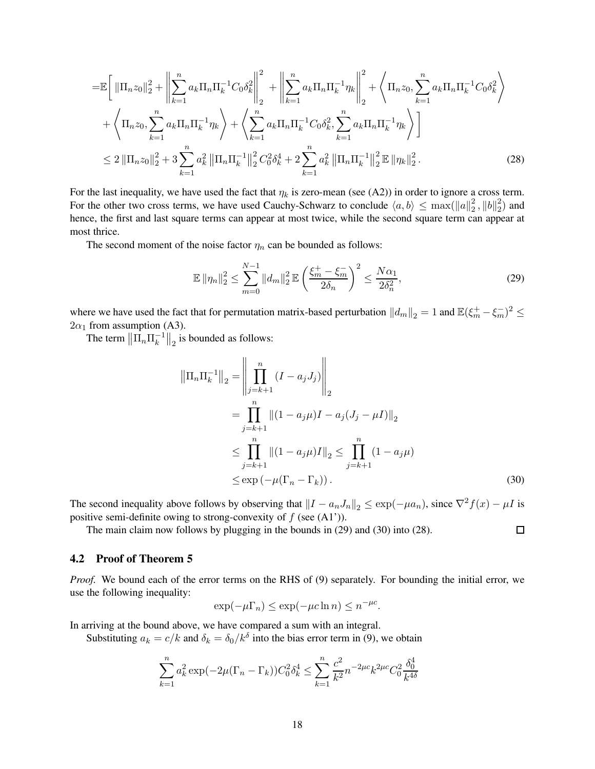$$
= \mathbb{E}\left[\left\|\Pi_{n}z_{0}\right\|_{2}^{2} + \left\|\sum_{k=1}^{n} a_{k}\Pi_{n}\Pi_{k}^{-1}C_{0}\delta_{k}^{2}\right\|_{2}^{2} + \left\|\sum_{k=1}^{n} a_{k}\Pi_{n}\Pi_{k}^{-1}\eta_{k}\right\|_{2}^{2} + \left\langle \Pi_{n}z_{0}, \sum_{k=1}^{n} a_{k}\Pi_{n}\Pi_{k}^{-1}C_{0}\delta_{k}^{2}\right\rangle + \left\langle \Pi_{n}z_{0}, \sum_{k=1}^{n} a_{k}\Pi_{n}\Pi_{k}^{-1}\eta_{k}\right\rangle + \left\langle \sum_{k=1}^{n} a_{k}\Pi_{n}\Pi_{k}^{-1}C_{0}\delta_{k}^{2}, \sum_{k=1}^{n} a_{k}\Pi_{n}\Pi_{k}^{-1}\eta_{k}\right\rangle\right] \leq 2\left\|\Pi_{n}z_{0}\right\|_{2}^{2} + 3\sum_{k=1}^{n} a_{k}^{2}\left\|\Pi_{n}\Pi_{k}^{-1}\right\|_{2}^{2}C_{0}^{2}\delta_{k}^{4} + 2\sum_{k=1}^{n} a_{k}^{2}\left\|\Pi_{n}\Pi_{k}^{-1}\right\|_{2}^{2}\mathbb{E}\left\|\eta_{k}\right\|_{2}^{2}.
$$
 (28)

For the last inequality, we have used the fact that  $\eta_k$  is zero-mean (see (A2)) in order to ignore a cross term. For the other two cross terms, we have used Cauchy-Schwarz to conclude  $\langle a, b \rangle \le \max(||a||_2^2)$  $\frac{2}{2}$ ,  $\|b\|_2^2$  $_2^2$ ) and hence, the first and last square terms can appear at most twice, while the second square term can appear at most thrice.

The second moment of the noise factor  $\eta_n$  can be bounded as follows:

$$
\mathbb{E} \|\eta_n\|_2^2 \le \sum_{m=0}^{N-1} \|d_m\|_2^2 \mathbb{E} \left(\frac{\xi_m^+ - \xi_m^-}{2\delta_n}\right)^2 \le \frac{N\alpha_1}{2\delta_n^2},\tag{29}
$$

where we have used the fact that for permutation matrix-based perturbation  $||d_m||_2 = 1$  and  $\mathbb{E}(\xi_m^+ - \xi_m^-)^2 \le$  $2\alpha_1$  from assumption (A3).

The term  $\left\|\overline{\Pi}_n \Pi_k^{-1}\right\|_2$  is bounded as follows:

$$
\|\Pi_n \Pi_k^{-1}\|_2 = \left\|\prod_{j=k+1}^n (I - a_j J_j)\right\|_2
$$
  
=  $\prod_{j=k+1}^n \|(1 - a_j \mu)I - a_j (J_j - \mu I)\|_2$   
 $\leq \prod_{j=k+1}^n \|(1 - a_j \mu)I\|_2 \leq \prod_{j=k+1}^n (1 - a_j \mu)$   
 $\leq \exp(-\mu (\Gamma_n - \Gamma_k)).$  (30)

 $\Box$ 

The second inequality above follows by observing that  $||I - a_nJ_n||_2 \leq \exp(-\mu a_n)$ , since  $\nabla^2 f(x) - \mu I$  is positive semi-definite owing to strong-convexity of  $f$  (see  $(A1')$ ).

The main claim now follows by plugging in the bounds in (29) and (30) into (28).

### 4.2 Proof of Theorem 5

*Proof.* We bound each of the error terms on the RHS of (9) separately. For bounding the initial error, we use the following inequality:

$$
\exp(-\mu \Gamma_n) \le \exp(-\mu c \ln n) \le n^{-\mu c}.
$$

In arriving at the bound above, we have compared a sum with an integral.

Substituting  $a_k = c/k$  and  $\delta_k = \delta_0 / k^{\delta}$  into the bias error term in (9), we obtain

$$
\sum_{k=1}^{n} a_k^2 \exp(-2\mu(\Gamma_n - \Gamma_k)) C_0^2 \delta_k^4 \le \sum_{k=1}^{n} \frac{c^2}{k^2} n^{-2\mu c} k^{2\mu c} C_0^2 \frac{\delta_0^4}{k^{4\delta}}
$$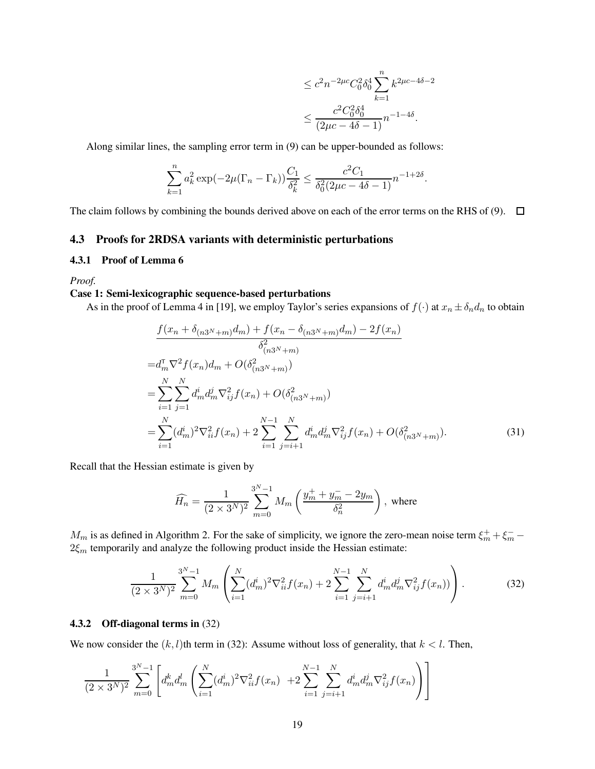$$
\leq c^2 n^{-2\mu c} C_0^2 \delta_0^4 \sum_{k=1}^n k^{2\mu c - 4\delta - 2}
$$
  

$$
\leq \frac{c^2 C_0^2 \delta_0^4}{(2\mu c - 4\delta - 1)} n^{-1 - 4\delta}.
$$

Along similar lines, the sampling error term in (9) can be upper-bounded as follows:

$$
\sum_{k=1}^{n} a_k^2 \exp(-2\mu(\Gamma_n - \Gamma_k)) \frac{C_1}{\delta_k^2} \le \frac{c^2 C_1}{\delta_0^2 (2\mu c - 4\delta - 1)} n^{-1 + 2\delta}.
$$

The claim follows by combining the bounds derived above on each of the error terms on the RHS of (9).  $\Box$ 

### 4.3 Proofs for 2RDSA variants with deterministic perturbations

#### 4.3.1 Proof of Lemma 6

*Proof.*

## Case 1: Semi-lexicographic sequence-based perturbations

As in the proof of Lemma 4 in [19], we employ Taylor's series expansions of  $f(\cdot)$  at  $x_n \pm \delta_n d_n$  to obtain

$$
\frac{f(x_n + \delta_{(n3^N + m)} d_m) + f(x_n - \delta_{(n3^N + m)} d_m) - 2f(x_n)}{\delta_{(n3^N + m)}^2}
$$
\n
$$
= d_m^T \nabla^2 f(x_n) d_m + O(\delta_{(n3^N + m)}^2)
$$
\n
$$
= \sum_{i=1}^N \sum_{j=1}^N d_m^i d_m^j \nabla_{ij}^2 f(x_n) + O(\delta_{(n3^N + m)}^2)
$$
\n
$$
= \sum_{i=1}^N (d_m^i)^2 \nabla_{ii}^2 f(x_n) + 2 \sum_{i=1}^{N-1} \sum_{j=i+1}^N d_m^i d_m^j \nabla_{ij}^2 f(x_n) + O(\delta_{(n3^N + m)}^2).
$$
\n(31)

Recall that the Hessian estimate is given by

$$
\widehat{H_n} = \frac{1}{(2 \times 3^N)^2} \sum_{m=0}^{3^N - 1} M_m \left( \frac{y_m^+ + y_m^- - 2y_m}{\delta_n^2} \right), \text{ where}
$$

 $M_m$  is as defined in Algorithm 2. For the sake of simplicity, we ignore the zero-mean noise term  $\xi_m^+ + \xi_m^ 2\xi_m$  temporarily and analyze the following product inside the Hessian estimate:

$$
\frac{1}{(2\times3^N)^2} \sum_{m=0}^{3^N-1} M_m \left( \sum_{i=1}^N (d_m^i)^2 \nabla_{ii}^2 f(x_n) + 2 \sum_{i=1}^{N-1} \sum_{j=i+1}^N d_m^i d_m^j \nabla_{ij}^2 f(x_n) ) \right).
$$
 (32)

#### 4.3.2 Off-diagonal terms in (32)

We now consider the  $(k, l)$ th term in (32): Assume without loss of generality, that  $k < l$ . Then,

$$
\frac{1}{(2\times3^N)^2}\sum_{m=0}^{3^N-1}\left[d_m^kd_m^l\left(\sum_{i=1}^N(d_m^i)^2\nabla_{ii}^2f(x_n)\right.\right.\\ \left.\left. +2\sum_{i=1}^{N-1}\sum_{j=i+1}^Nd_m^id_m^j\nabla_{ij}^2f(x_n)\right)\right]
$$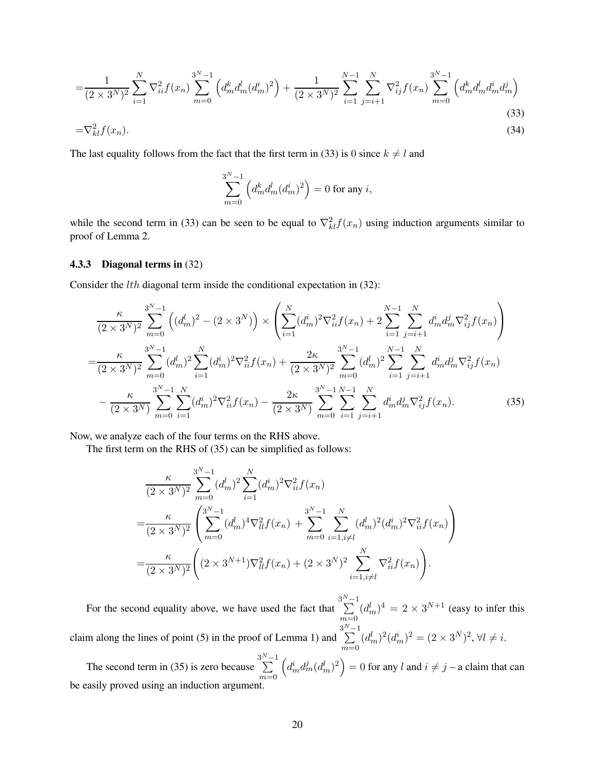$$
=\frac{1}{(2\times3^N)^2}\sum_{i=1}^N\nabla_{ii}^2f(x_n)\sum_{m=0}^{3^N-1}\left(d_m^kd_m^ld_m^i)^2\right)+\frac{1}{(2\times3^N)^2}\sum_{i=1}^{N-1}\sum_{j=i+1}^N\nabla_{ij}^2f(x_n)\sum_{m=0}^{3^N-1}\left(d_m^kd_m^ld_m^j\right)
$$
\n
$$
=\nabla_{kl}^2f(x_n).
$$
\n(33)

The last equality follows from the fact that the first term in (33) is 0 since  $k \neq l$  and

$$
\sum_{m=0}^{3^N-1} \Big(d_m^k d_m^l (d_m^i)^2\Big) = 0 \text{ for any } i,
$$

while the second term in (33) can be seen to be equal to  $\nabla^2_{kl} f(x_n)$  using induction arguments similar to proof of Lemma 2.

#### 4.3.3 Diagonal terms in (32)

Consider the *lth* diagonal term inside the conditional expectation in (32):

$$
\frac{\kappa}{(2 \times 3^N)^2} \sum_{m=0}^{3^N - 1} \left( (d_m^l)^2 - (2 \times 3^N) \right) \times \left( \sum_{i=1}^N (d_m^i)^2 \nabla_{ii}^2 f(x_n) + 2 \sum_{i=1}^{N-1} \sum_{j=i+1}^N d_m^i d_m^j \nabla_{ij}^2 f(x_n) \right)
$$
\n
$$
= \frac{\kappa}{(2 \times 3^N)^2} \sum_{m=0}^{3^N - 1} (d_m^l)^2 \sum_{i=1}^N (d_m^i)^2 \nabla_{ii}^2 f(x_n) + \frac{2\kappa}{(2 \times 3^N)^2} \sum_{m=0}^{3^N - 1} (d_m^l)^2 \sum_{i=1}^N \sum_{j=i+1}^N d_m^i d_m^j \nabla_{ij}^2 f(x_n)
$$
\n
$$
- \frac{\kappa}{(2 \times 3^N)} \sum_{m=0}^{3^N - 1} \sum_{i=1}^N (d_m^i)^2 \nabla_{ii}^2 f(x_n) - \frac{2\kappa}{(2 \times 3^N)} \sum_{m=0}^{3^N - 1} \sum_{i=1}^{N-1} \sum_{j=i+1}^N d_m^i d_m^j \nabla_{ij}^2 f(x_n).
$$
\n(35)

Now, we analyze each of the four terms on the RHS above.

The first term on the RHS of (35) can be simplified as follows:

$$
\frac{\kappa}{(2 \times 3^N)^2} \sum_{m=0}^{3^N - 1} (d_m^l)^2 \sum_{i=1}^N (d_m^i)^2 \nabla_{ii}^2 f(x_n)
$$
\n
$$
= \frac{\kappa}{(2 \times 3^N)^2} \left( \sum_{m=0}^{3^N - 1} (d_m^l)^4 \nabla_{il}^2 f(x_n) + \sum_{m=0}^{3^N - 1} \sum_{i=1, i \neq l}^N (d_m^l)^2 (d_m^i)^2 \nabla_{ii}^2 f(x_n) \right)
$$
\n
$$
= \frac{\kappa}{(2 \times 3^N)^2} \left( (2 \times 3^{N+1}) \nabla_{il}^2 f(x_n) + (2 \times 3^N)^2 \sum_{i=1, i \neq l}^N \nabla_{ii}^2 f(x_n) \right).
$$

For the second equality above, we have used the fact that  $\sum_{n=1}^{3^{N}-1}$  $m=0$  $(d_m^l)^4 = 2 \times 3^{N+1}$  (easy to infer this claim along the lines of point (5) in the proof of Lemma 1) and  $\sum^{3^N-1}$  $m=0$  $(d_m^l)^2(d_m^i)^2 = (2 \times 3^N)^2, \forall l \neq i.$ 

The second term in (35) is zero because  $\sum^{3^N-1}$  $m=0$  $(d_m^i d_m^j (d_m^l)^2) = 0$  for any l and  $i \neq j$  – a claim that can be easily proved using an induction argument.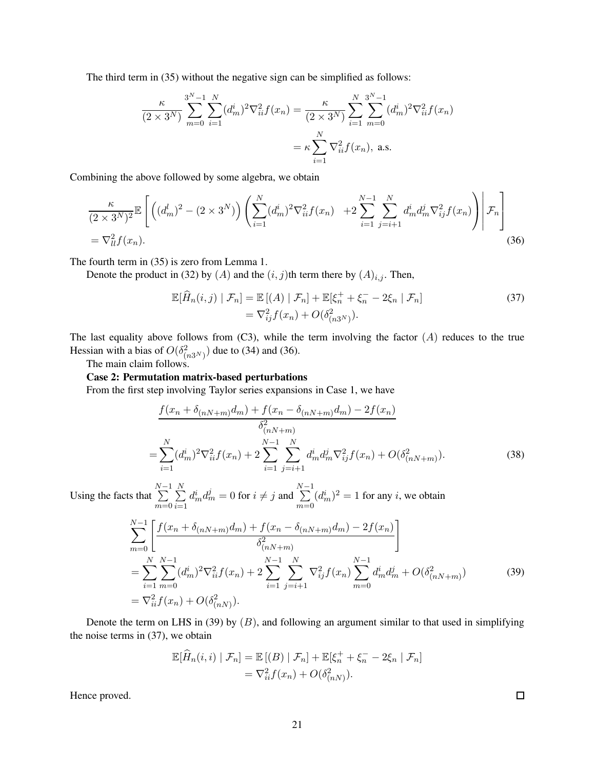The third term in (35) without the negative sign can be simplified as follows:

$$
\frac{\kappa}{(2 \times 3^N)} \sum_{m=0}^{3^N-1} \sum_{i=1}^N (d_m^i)^2 \nabla_{ii}^2 f(x_n) = \frac{\kappa}{(2 \times 3^N)} \sum_{i=1}^N \sum_{m=0}^{3^N-1} (d_m^i)^2 \nabla_{ii}^2 f(x_n)
$$

$$
= \kappa \sum_{i=1}^N \nabla_{ii}^2 f(x_n), \text{ a.s.}
$$

Combining the above followed by some algebra, we obtain

$$
\frac{\kappa}{(2 \times 3^N)^2} \mathbb{E}\left[ \left( (d_m^l)^2 - (2 \times 3^N) \right) \left( \sum_{i=1}^N (d_m^i)^2 \nabla_{ii}^2 f(x_n) + 2 \sum_{i=1}^{N-1} \sum_{j=i+1}^N d_m^i d_m^j \nabla_{ij}^2 f(x_n) \right) \middle| \mathcal{F}_n \right] \n= \nabla_{ll}^2 f(x_n).
$$
\n(36)

The fourth term in (35) is zero from Lemma 1.

Denote the product in (32) by (A) and the  $(i, j)$ th term there by  $(A)_{i,j}$ . Then,

$$
\mathbb{E}[\widehat{H}_n(i,j) | \mathcal{F}_n] = \mathbb{E}[(A) | \mathcal{F}_n] + \mathbb{E}[\xi_n^+ + \xi_n^- - 2\xi_n | \mathcal{F}_n]
$$
  
= 
$$
\nabla_{ij}^2 f(x_n) + O(\delta_{(n3^N)}^2).
$$
 (37)

The last equality above follows from  $(C3)$ , while the term involving the factor  $(A)$  reduces to the true Hessian with a bias of  $O(\delta_{(n3^N)}^2)$  due to (34) and (36).

The main claim follows.

#### Case 2: Permutation matrix-based perturbations

From the first step involving Taylor series expansions in Case 1, we have

$$
\frac{f(x_n + \delta_{(nN+m)}d_m) + f(x_n - \delta_{(nN+m)}d_m) - 2f(x_n)}{\delta_{(nN+m)}^2}
$$
\n
$$
= \sum_{i=1}^N (d_m^i)^2 \nabla_{ii}^2 f(x_n) + 2 \sum_{i=1}^{N-1} \sum_{j=i+1}^N d_m^i d_m^j \nabla_{ij}^2 f(x_n) + O(\delta_{(nN+m)}^2). \tag{38}
$$

Using the facts that  $\sum_{i=1}^{N-1}$  $m=0$  $\frac{N}{\sum}$  $\frac{i=1}{i}$  $d_m^i d_m^j = 0$  for  $i \neq j$  and  $\sum_{i=1}^{N-1}$  $m=0$  $(d_m^i)^2 = 1$  for any *i*, we obtain

$$
\sum_{m=0}^{N-1} \left[ \frac{f(x_n + \delta_{(nN+m)} d_m) + f(x_n - \delta_{(nN+m)} d_m) - 2f(x_n)}{\delta_{(nN+m)}^2} \right]
$$
\n
$$
= \sum_{i=1}^{N} \sum_{m=0}^{N-1} (d_m^i)^2 \nabla_{ii}^2 f(x_n) + 2 \sum_{i=1}^{N-1} \sum_{j=i+1}^{N} \nabla_{ij}^2 f(x_n) \sum_{m=0}^{N-1} d_m^i d_m^j + O(\delta_{(nN+m)}^2)
$$
\n
$$
= \nabla_{ii}^2 f(x_n) + O(\delta_{(nN)}^2).
$$
\n(39)

Denote the term on LHS in (39) by  $(B)$ , and following an argument similar to that used in simplifying the noise terms in (37), we obtain

$$
\mathbb{E}[\widehat{H}_n(i,i) | \mathcal{F}_n] = \mathbb{E}[(B) | \mathcal{F}_n] + \mathbb{E}[\xi_n^+ + \xi_n^- - 2\xi_n | \mathcal{F}_n]
$$
  
=  $\nabla_{ii}^2 f(x_n) + O(\delta_{(nN)}^2).$ 

Hence proved.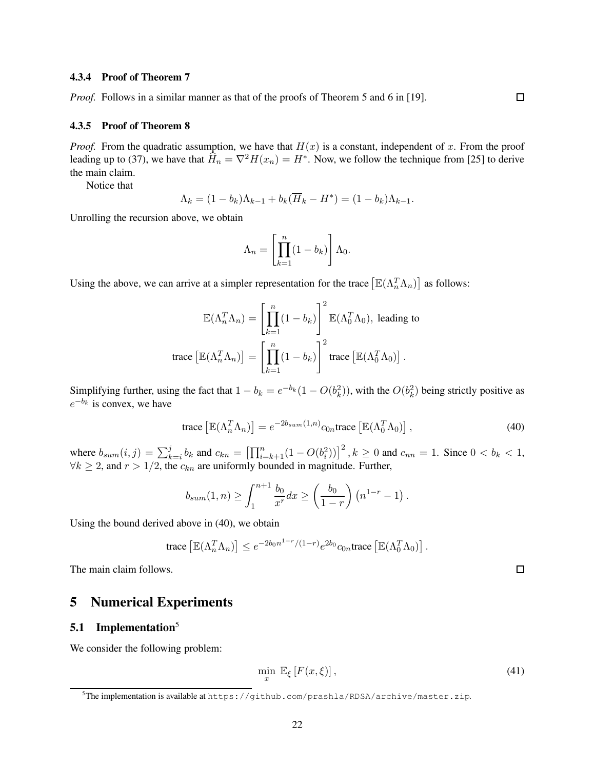#### 4.3.4 Proof of Theorem 7

*Proof.* Follows in a similar manner as that of the proofs of Theorem 5 and 6 in [19].

#### 4.3.5 Proof of Theorem 8

*Proof.* From the quadratic assumption, we have that  $H(x)$  is a constant, independent of x. From the proof leading up to (37), we have that  $\widehat{H}_n = \nabla^2 H(x_n) = H^*$ . Now, we follow the technique from [25] to derive the main claim.

Notice that

$$
\Lambda_k = (1 - b_k)\Lambda_{k-1} + b_k(\overline{H}_k - H^*) = (1 - b_k)\Lambda_{k-1}.
$$

Unrolling the recursion above, we obtain

$$
\Lambda_n = \left[ \prod_{k=1}^n (1 - b_k) \right] \Lambda_0.
$$

Using the above, we can arrive at a simpler representation for the trace  $[\mathbb{E}(\Lambda_n^T \Lambda_n)]$  as follows:

$$
\mathbb{E}(\Lambda_n^T \Lambda_n) = \left[ \prod_{k=1}^n (1 - b_k) \right]^2 \mathbb{E}(\Lambda_0^T \Lambda_0), \text{ leading to}
$$
  
trace 
$$
\left[ \mathbb{E}(\Lambda_n^T \Lambda_n) \right] = \left[ \prod_{k=1}^n (1 - b_k) \right]^2 \text{trace } \left[ \mathbb{E}(\Lambda_0^T \Lambda_0) \right].
$$

Simplifying further, using the fact that  $1 - b_k = e^{-b_k} (1 - O(b_k^2))$ , with the  $O(b_k^2)$  being strictly positive as  $e^{-b_k}$  is convex, we have

trace 
$$
\left[\mathbb{E}(\Lambda_n^T \Lambda_n)\right] = e^{-2b_{sum}(1,n)} c_{0n} \text{trace} \left[\mathbb{E}(\Lambda_0^T \Lambda_0)\right],
$$
 (40)

where  $b_{sum}(i, j) = \sum_{k=i}^{j} b_k$  and  $c_{kn} = \left[ \prod_{i=k+1}^{n} (1 - O(b_i^2)) \right]^2$ ,  $k \ge 0$  and  $c_{nn} = 1$ . Since  $0 < b_k < 1$ ,  $\forall k \geq 2$ , and  $r > 1/2$ , the  $c_{kn}$  are uniformly bounded in magnitude. Further,

$$
b_{sum}(1, n) \ge \int_1^{n+1} \frac{b_0}{x^r} dx \ge \left(\frac{b_0}{1-r}\right) \left(n^{1-r} - 1\right).
$$

Using the bound derived above in (40), we obtain

trace 
$$
\left[\mathbb{E}(\Lambda_n^T \Lambda_n)\right] \leq e^{-2b_0 n^{1-r}/(1-r)} e^{2b_0} c_{0n} \text{trace} \left[\mathbb{E}(\Lambda_0^T \Lambda_0)\right].
$$

The main claim follows.

# 5 Numerical Experiments

#### 5.1 Implementation<sup>5</sup>

We consider the following problem:

$$
\min_{x} \mathbb{E}_{\xi} \left[ F(x, \xi) \right],\tag{41}
$$

 $\Box$ 

<sup>5</sup>The implementation is available at https://github.com/prashla/RDSA/archive/master.zip.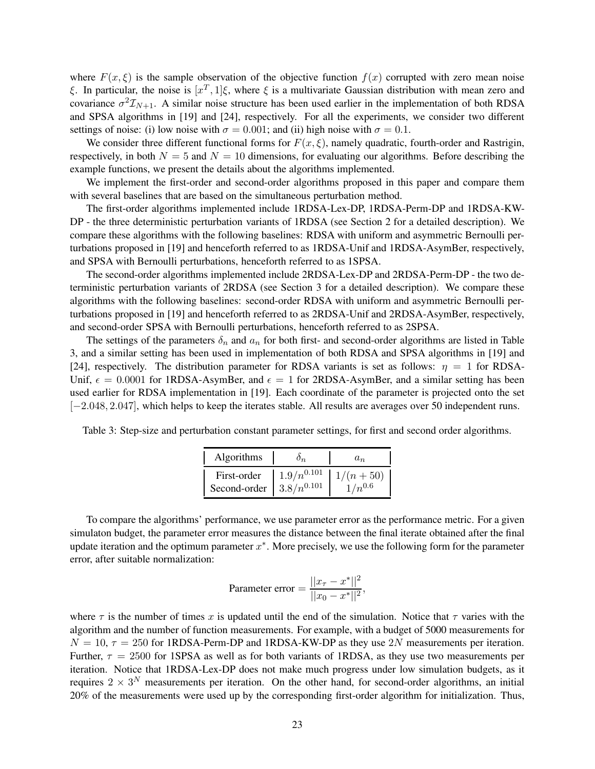where  $F(x, \xi)$  is the sample observation of the objective function  $f(x)$  corrupted with zero mean noise ξ. In particular, the noise is  $[x^T, 1]$ ξ, where ξ is a multivariate Gaussian distribution with mean zero and covariance  $\sigma^2 \mathcal{I}_{N+1}$ . A similar noise structure has been used earlier in the implementation of both RDSA and SPSA algorithms in [19] and [24], respectively. For all the experiments, we consider two different settings of noise: (i) low noise with  $\sigma = 0.001$ ; and (ii) high noise with  $\sigma = 0.1$ .

We consider three different functional forms for  $F(x, \xi)$ , namely quadratic, fourth-order and Rastrigin, respectively, in both  $N = 5$  and  $N = 10$  dimensions, for evaluating our algorithms. Before describing the example functions, we present the details about the algorithms implemented.

We implement the first-order and second-order algorithms proposed in this paper and compare them with several baselines that are based on the simultaneous perturbation method.

The first-order algorithms implemented include 1RDSA-Lex-DP, 1RDSA-Perm-DP and 1RDSA-KW-DP - the three deterministic perturbation variants of 1RDSA (see Section 2 for a detailed description). We compare these algorithms with the following baselines: RDSA with uniform and asymmetric Bernoulli perturbations proposed in [19] and henceforth referred to as 1RDSA-Unif and 1RDSA-AsymBer, respectively, and SPSA with Bernoulli perturbations, henceforth referred to as 1SPSA.

The second-order algorithms implemented include 2RDSA-Lex-DP and 2RDSA-Perm-DP - the two deterministic perturbation variants of 2RDSA (see Section 3 for a detailed description). We compare these algorithms with the following baselines: second-order RDSA with uniform and asymmetric Bernoulli perturbations proposed in [19] and henceforth referred to as 2RDSA-Unif and 2RDSA-AsymBer, respectively, and second-order SPSA with Bernoulli perturbations, henceforth referred to as 2SPSA.

The settings of the parameters  $\delta_n$  and  $a_n$  for both first- and second-order algorithms are listed in Table 3, and a similar setting has been used in implementation of both RDSA and SPSA algorithms in [19] and [24], respectively. The distribution parameter for RDSA variants is set as follows:  $\eta = 1$  for RDSA-Unif,  $\epsilon = 0.0001$  for 1RDSA-AsymBer, and  $\epsilon = 1$  for 2RDSA-AsymBer, and a similar setting has been used earlier for RDSA implementation in [19]. Each coordinate of the parameter is projected onto the set [−2.048, 2.047], which helps to keep the iterates stable. All results are averages over 50 independent runs.

Table 3: Step-size and perturbation constant parameter settings, for first and second order algorithms.

| Algorithms                                  | In.             | $a_n$                     |
|---------------------------------------------|-----------------|---------------------------|
| First-order<br>Second-order $3.8/n^{0.101}$ | $1.9/n^{0.101}$ | $1/(n+50)$<br>$1/n^{0.6}$ |

To compare the algorithms' performance, we use parameter error as the performance metric. For a given simulaton budget, the parameter error measures the distance between the final iterate obtained after the final update iteration and the optimum parameter  $x^*$ . More precisely, we use the following form for the parameter error, after suitable normalization:

$$
\text{Parameter error} = \frac{||x_{\tau} - x^*||^2}{||x_0 - x^*||^2},
$$

where  $\tau$  is the number of times x is updated until the end of the simulation. Notice that  $\tau$  varies with the algorithm and the number of function measurements. For example, with a budget of 5000 measurements for  $N = 10$ ,  $\tau = 250$  for 1RDSA-Perm-DP and 1RDSA-KW-DP as they use 2N measurements per iteration. Further,  $\tau = 2500$  for 1SPSA as well as for both variants of 1RDSA, as they use two measurements per iteration. Notice that 1RDSA-Lex-DP does not make much progress under low simulation budgets, as it requires  $2 \times 3^N$  measurements per iteration. On the other hand, for second-order algorithms, an initial 20% of the measurements were used up by the corresponding first-order algorithm for initialization. Thus,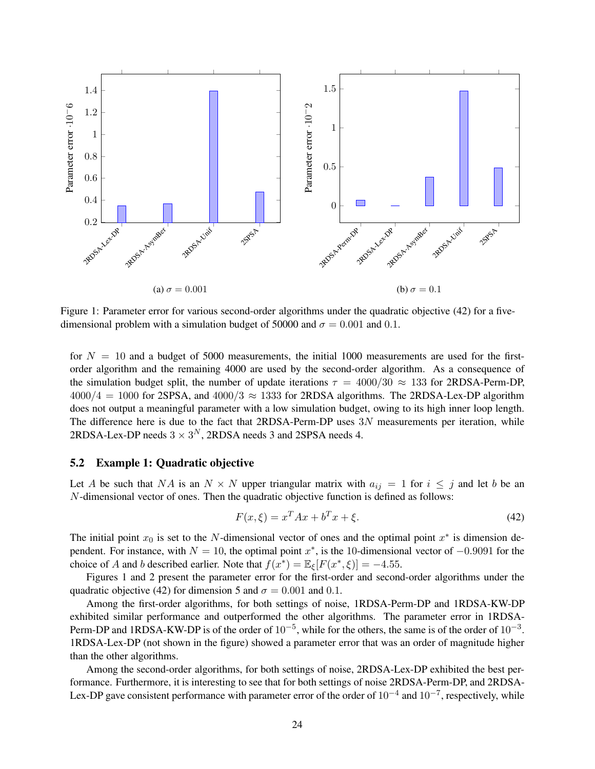

Figure 1: Parameter error for various second-order algorithms under the quadratic objective (42) for a fivedimensional problem with a simulation budget of 50000 and  $\sigma = 0.001$  and 0.1.

for  $N = 10$  and a budget of 5000 measurements, the initial 1000 measurements are used for the firstorder algorithm and the remaining 4000 are used by the second-order algorithm. As a consequence of the simulation budget split, the number of update iterations  $\tau = 4000/30 \approx 133$  for 2RDSA-Perm-DP,  $4000/4 = 1000$  for 2SPSA, and  $4000/3 \approx 1333$  for 2RDSA algorithms. The 2RDSA-Lex-DP algorithm does not output a meaningful parameter with a low simulation budget, owing to its high inner loop length. The difference here is due to the fact that 2RDSA-Perm-DP uses 3N measurements per iteration, while 2RDSA-Lex-DP needs  $3 \times 3^N$ , 2RDSA needs 3 and 2SPSA needs 4.

#### 5.2 Example 1: Quadratic objective

Let A be such that NA is an  $N \times N$  upper triangular matrix with  $a_{ij} = 1$  for  $i \leq j$  and let b be an N-dimensional vector of ones. Then the quadratic objective function is defined as follows:

$$
F(x,\xi) = x^T A x + b^T x + \xi.
$$
\n<sup>(42)</sup>

The initial point  $x_0$  is set to the N-dimensional vector of ones and the optimal point  $x^*$  is dimension dependent. For instance, with  $N = 10$ , the optimal point  $x^*$ , is the 10-dimensional vector of  $-0.9091$  for the choice of A and b described earlier. Note that  $f(x^*) = \mathbb{E}_{\xi}[F(x^*, \xi)] = -4.55$ .

Figures 1 and 2 present the parameter error for the first-order and second-order algorithms under the quadratic objective (42) for dimension 5 and  $\sigma = 0.001$  and 0.1.

Among the first-order algorithms, for both settings of noise, 1RDSA-Perm-DP and 1RDSA-KW-DP exhibited similar performance and outperformed the other algorithms. The parameter error in 1RDSA-Perm-DP and 1RDSA-KW-DP is of the order of  $10^{-5}$ , while for the others, the same is of the order of  $10^{-3}$ . 1RDSA-Lex-DP (not shown in the figure) showed a parameter error that was an order of magnitude higher than the other algorithms.

Among the second-order algorithms, for both settings of noise, 2RDSA-Lex-DP exhibited the best performance. Furthermore, it is interesting to see that for both settings of noise 2RDSA-Perm-DP, and 2RDSA-Lex-DP gave consistent performance with parameter error of the order of  $10^{-4}$  and  $10^{-7}$ , respectively, while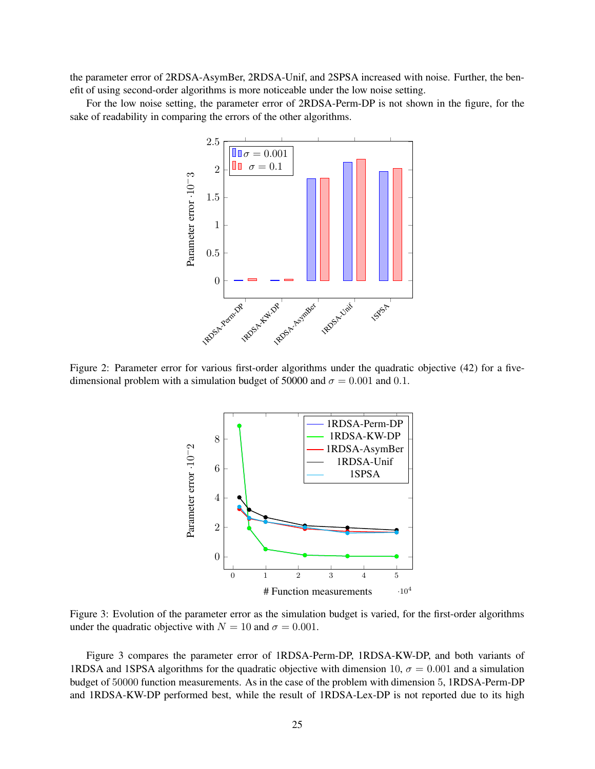the parameter error of 2RDSA-AsymBer, 2RDSA-Unif, and 2SPSA increased with noise. Further, the benefit of using second-order algorithms is more noticeable under the low noise setting.

For the low noise setting, the parameter error of 2RDSA-Perm-DP is not shown in the figure, for the sake of readability in comparing the errors of the other algorithms.



Figure 2: Parameter error for various first-order algorithms under the quadratic objective (42) for a fivedimensional problem with a simulation budget of 50000 and  $\sigma = 0.001$  and 0.1.



Figure 3: Evolution of the parameter error as the simulation budget is varied, for the first-order algorithms under the quadratic objective with  $N = 10$  and  $\sigma = 0.001$ .

Figure 3 compares the parameter error of 1RDSA-Perm-DP, 1RDSA-KW-DP, and both variants of 1RDSA and 1SPSA algorithms for the quadratic objective with dimension 10,  $\sigma = 0.001$  and a simulation budget of 50000 function measurements. As in the case of the problem with dimension 5, 1RDSA-Perm-DP and 1RDSA-KW-DP performed best, while the result of 1RDSA-Lex-DP is not reported due to its high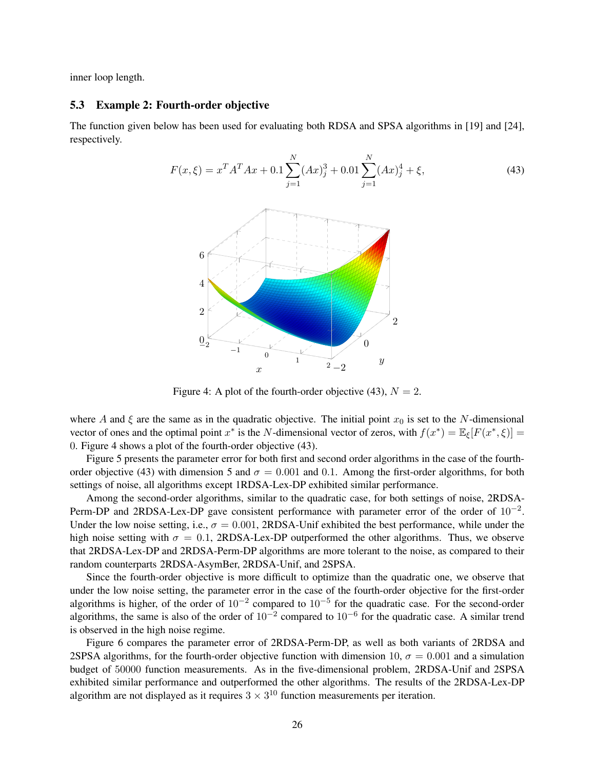inner loop length.

#### 5.3 Example 2: Fourth-order objective

The function given below has been used for evaluating both RDSA and SPSA algorithms in [19] and [24], respectively.

$$
F(x,\xi) = x^T A^T A x + 0.1 \sum_{j=1}^N (Ax)_j^3 + 0.01 \sum_{j=1}^N (Ax)_j^4 + \xi,
$$
\n(43)

Figure 4: A plot of the fourth-order objective (43),  $N = 2$ .

where A and  $\xi$  are the same as in the quadratic objective. The initial point  $x_0$  is set to the N-dimensional vector of ones and the optimal point  $x^*$  is the N-dimensional vector of zeros, with  $f(x^*) = \mathbb{E}_{\xi}[F(x^*, \xi)] =$ 0. Figure 4 shows a plot of the fourth-order objective (43).

Figure 5 presents the parameter error for both first and second order algorithms in the case of the fourthorder objective (43) with dimension 5 and  $\sigma = 0.001$  and 0.1. Among the first-order algorithms, for both settings of noise, all algorithms except 1RDSA-Lex-DP exhibited similar performance.

Among the second-order algorithms, similar to the quadratic case, for both settings of noise, 2RDSA-Perm-DP and 2RDSA-Lex-DP gave consistent performance with parameter error of the order of  $10^{-2}$ . Under the low noise setting, i.e.,  $\sigma = 0.001$ , 2RDSA-Unif exhibited the best performance, while under the high noise setting with  $\sigma = 0.1$ , 2RDSA-Lex-DP outperformed the other algorithms. Thus, we observe that 2RDSA-Lex-DP and 2RDSA-Perm-DP algorithms are more tolerant to the noise, as compared to their random counterparts 2RDSA-AsymBer, 2RDSA-Unif, and 2SPSA.

Since the fourth-order objective is more difficult to optimize than the quadratic one, we observe that under the low noise setting, the parameter error in the case of the fourth-order objective for the first-order algorithms is higher, of the order of  $10^{-2}$  compared to  $10^{-5}$  for the quadratic case. For the second-order algorithms, the same is also of the order of  $10^{-2}$  compared to  $10^{-6}$  for the quadratic case. A similar trend is observed in the high noise regime.

Figure 6 compares the parameter error of 2RDSA-Perm-DP, as well as both variants of 2RDSA and 2SPSA algorithms, for the fourth-order objective function with dimension 10,  $\sigma = 0.001$  and a simulation budget of 50000 function measurements. As in the five-dimensional problem, 2RDSA-Unif and 2SPSA exhibited similar performance and outperformed the other algorithms. The results of the 2RDSA-Lex-DP algorithm are not displayed as it requires  $3 \times 3^{10}$  function measurements per iteration.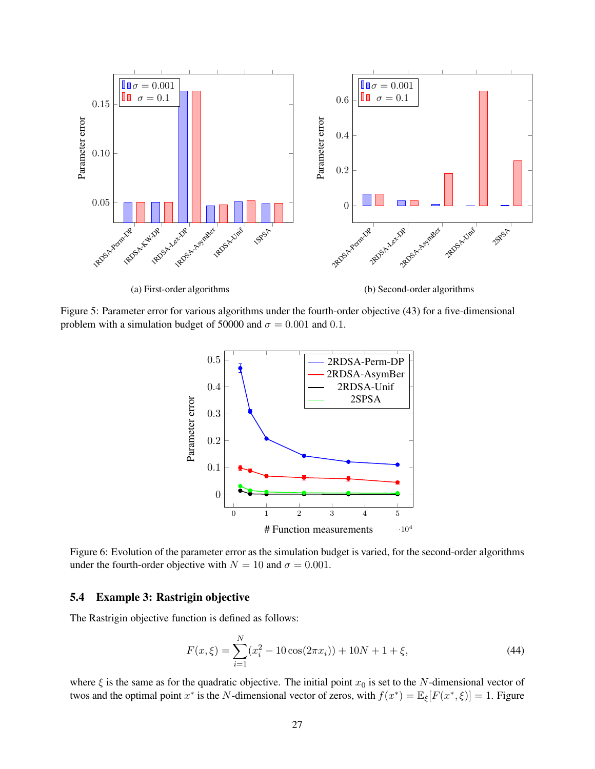

Figure 5: Parameter error for various algorithms under the fourth-order objective (43) for a five-dimensional problem with a simulation budget of 50000 and  $\sigma = 0.001$  and 0.1.



Figure 6: Evolution of the parameter error as the simulation budget is varied, for the second-order algorithms under the fourth-order objective with  $N = 10$  and  $\sigma = 0.001$ .

# 5.4 Example 3: Rastrigin objective

The Rastrigin objective function is defined as follows:

$$
F(x,\xi) = \sum_{i=1}^{N} (x_i^2 - 10\cos(2\pi x_i)) + 10N + 1 + \xi,
$$
\n(44)

where  $\xi$  is the same as for the quadratic objective. The initial point  $x_0$  is set to the N-dimensional vector of twos and the optimal point  $x^*$  is the N-dimensional vector of zeros, with  $f(x^*) = \mathbb{E}_{\xi}[F(x^*, \xi)] = 1$ . Figure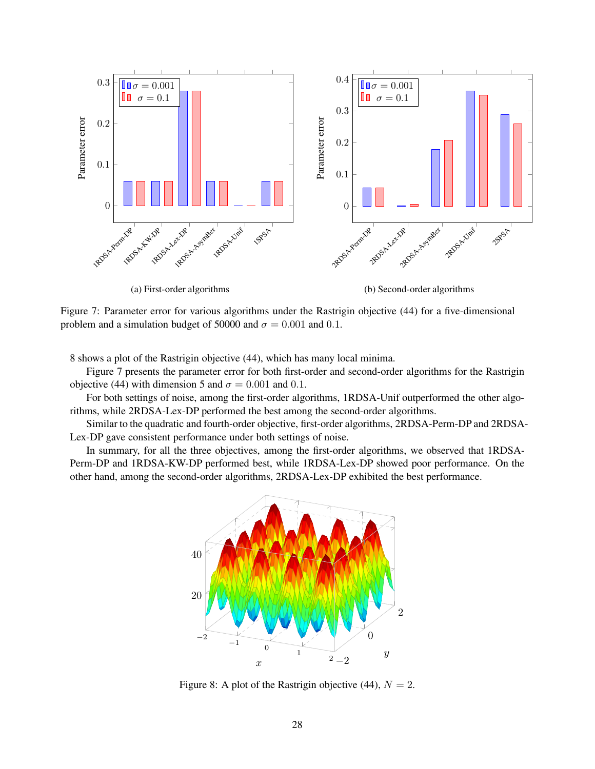

Figure 7: Parameter error for various algorithms under the Rastrigin objective (44) for a five-dimensional problem and a simulation budget of 50000 and  $\sigma = 0.001$  and 0.1.

8 shows a plot of the Rastrigin objective (44), which has many local minima.

Figure 7 presents the parameter error for both first-order and second-order algorithms for the Rastrigin objective (44) with dimension 5 and  $\sigma = 0.001$  and 0.1.

For both settings of noise, among the first-order algorithms, 1RDSA-Unif outperformed the other algorithms, while 2RDSA-Lex-DP performed the best among the second-order algorithms.

Similar to the quadratic and fourth-order objective, first-order algorithms, 2RDSA-Perm-DP and 2RDSA-Lex-DP gave consistent performance under both settings of noise.

In summary, for all the three objectives, among the first-order algorithms, we observed that 1RDSA-Perm-DP and 1RDSA-KW-DP performed best, while 1RDSA-Lex-DP showed poor performance. On the other hand, among the second-order algorithms, 2RDSA-Lex-DP exhibited the best performance.



Figure 8: A plot of the Rastrigin objective (44),  $N = 2$ .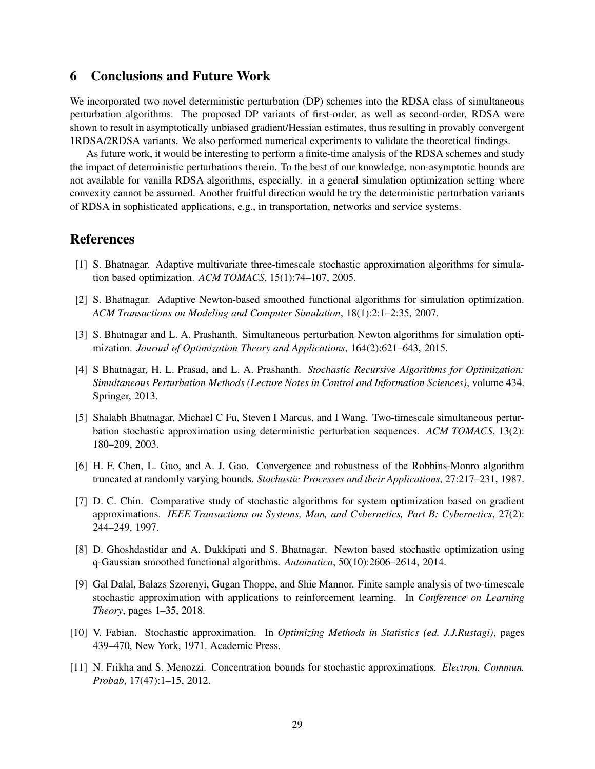# 6 Conclusions and Future Work

We incorporated two novel deterministic perturbation (DP) schemes into the RDSA class of simultaneous perturbation algorithms. The proposed DP variants of first-order, as well as second-order, RDSA were shown to result in asymptotically unbiased gradient/Hessian estimates, thus resulting in provably convergent 1RDSA/2RDSA variants. We also performed numerical experiments to validate the theoretical findings.

As future work, it would be interesting to perform a finite-time analysis of the RDSA schemes and study the impact of deterministic perturbations therein. To the best of our knowledge, non-asymptotic bounds are not available for vanilla RDSA algorithms, especially. in a general simulation optimization setting where convexity cannot be assumed. Another fruitful direction would be try the deterministic perturbation variants of RDSA in sophisticated applications, e.g., in transportation, networks and service systems.

# References

- [1] S. Bhatnagar. Adaptive multivariate three-timescale stochastic approximation algorithms for simulation based optimization. *ACM TOMACS*, 15(1):74–107, 2005.
- [2] S. Bhatnagar. Adaptive Newton-based smoothed functional algorithms for simulation optimization. *ACM Transactions on Modeling and Computer Simulation*, 18(1):2:1–2:35, 2007.
- [3] S. Bhatnagar and L. A. Prashanth. Simultaneous perturbation Newton algorithms for simulation optimization. *Journal of Optimization Theory and Applications*, 164(2):621–643, 2015.
- [4] S Bhatnagar, H. L. Prasad, and L. A. Prashanth. *Stochastic Recursive Algorithms for Optimization: Simultaneous Perturbation Methods (Lecture Notes in Control and Information Sciences)*, volume 434. Springer, 2013.
- [5] Shalabh Bhatnagar, Michael C Fu, Steven I Marcus, and I Wang. Two-timescale simultaneous perturbation stochastic approximation using deterministic perturbation sequences. *ACM TOMACS*, 13(2): 180–209, 2003.
- [6] H. F. Chen, L. Guo, and A. J. Gao. Convergence and robustness of the Robbins-Monro algorithm truncated at randomly varying bounds. *Stochastic Processes and their Applications*, 27:217–231, 1987.
- [7] D. C. Chin. Comparative study of stochastic algorithms for system optimization based on gradient approximations. *IEEE Transactions on Systems, Man, and Cybernetics, Part B: Cybernetics*, 27(2): 244–249, 1997.
- [8] D. Ghoshdastidar and A. Dukkipati and S. Bhatnagar. Newton based stochastic optimization using q-Gaussian smoothed functional algorithms. *Automatica*, 50(10):2606–2614, 2014.
- [9] Gal Dalal, Balazs Szorenyi, Gugan Thoppe, and Shie Mannor. Finite sample analysis of two-timescale stochastic approximation with applications to reinforcement learning. In *Conference on Learning Theory*, pages 1–35, 2018.
- [10] V. Fabian. Stochastic approximation. In *Optimizing Methods in Statistics (ed. J.J.Rustagi)*, pages 439–470, New York, 1971. Academic Press.
- [11] N. Frikha and S. Menozzi. Concentration bounds for stochastic approximations. *Electron. Commun. Probab*, 17(47):1–15, 2012.